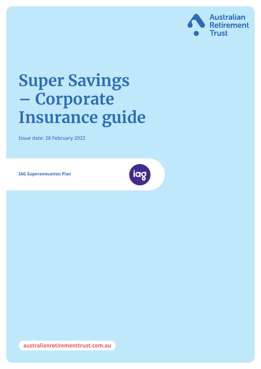

# **Super Savings – Corporate Insurance guide**

Issue date: 28 February 2022

**IAG Superannuation Plan**



australianretirementtrust.com.au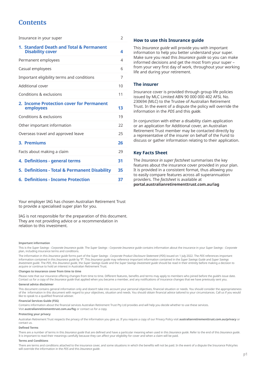# **Contents**

| Insurance in your super                                            | $\overline{2}$ |
|--------------------------------------------------------------------|----------------|
| 1. Standard Death and Total & Permanent<br><b>Disability cover</b> | 4              |
| Permanent employees                                                | 4              |
| Casual employees                                                   | 6              |
| Important eligibility terms and conditions                         | 7              |
| Additional cover                                                   | 10             |
| Conditions & exclusions                                            | 11             |
| 2. Income Protection cover for Permanent<br>employees              | 13             |
| Conditions & exclusions                                            | 19             |
| Other important information                                        | 22             |
| Overseas travel and approved leave                                 | 25             |
| 3. Premiums                                                        | 26             |
| Facts about making a claim                                         | 29             |
| 4. Definitions - general terms                                     | 31             |
| 5. Definitions - Total & Permanent Disability                      | 35             |
| 6. Definitions - Income Protection                                 | 37             |

Your employer IAG has chosen Australian Retirement Trust to provide a specialised super plan for you.

IAG is not responsible for the preparation of this document. They are not providing advice or a recommendation in relation to this investment.

#### **Important information**

This is the *Super Savings - Corporate Insurance guide*. The *Super Savings - Corporate Insurance guide* contains information about the insurance in your *Super Savings - Corporate* plan, including insurance terms and conditions.

The information in this *Insurance guide* forms part of the *Super Savings - Corporate Product Disclosure Statement* (*PDS*) issued on 1 July 2022. The *PDS* references important information contained in this *Insurance guide* by **"i"**. This *Insurance guide* may reference important information contained in the *Super Savings Guide* and *Super Savings Investment guide*. The *PDS*, this *Insurance guide*, the *Super Savings Guide* and the *Super Savings Investment guide* should be read in their entirety before making a decision to acquire or continue to hold an interest in Australian Retirement Trust.

#### **Changes to insurance cover from time to time**

Please note that our insurance offering changes from time to time. Different features, benefits and terms may apply to members who joined before the *guide*'s issue date. Contact us for a copy of the *Insurance guide* that applied when you became a member, and any notifications of insurance changes that we have previously sent you.

#### **General advice disclaimer**

This document contains general information only and doesn't take into account your personal objectives, financial situation or needs. You should consider the appropriateness of the information in this document with regard to your objectives, situation and needs. You should obtain financial advice tailored to your circumstances. Call us if you would like to speak to a qualified financial adviser.

#### **Financial Services Guide (FSG)**

Contains information about the financial services Australian Retirement Trust Pty Ltd provides and will help you decide whether to use these services. Visit **[australianretirementtrust.com.au/fsg](https://www.australianretirementtrust.com.au/fsg?utm_source=document&utm_medium=pdf&utm_campaign=pds_and_guides)** or contact us for a copy.

#### **Protecting your privacy**

Australian Retirement Trust respects the privacy of the information you give us. If you require a copy of our Privacy Policy visit **[australianretirementtrust.com.au/privacy](https://www.australianretirementtrust.com.au/privacy?utm_source=document&utm_medium=pdf&utm_campaign=pds_and_guides)** or contact us.

#### **Defined Terms**

There are a number of terms in this *Insurance guide* that are defined and have a particular meaning when used in this *Insurance guide*. Refer to the end of this *Insurance guide*. It is important to read their meanings carefully because they can affect your eligibility for cover and when a claim will be paid.

#### **Terms and Conditions**

There are terms and conditions attached to the insurance cover, and some situations in which the benefits will not be paid. In the event of a dispute the Insurance Policy/ies will override the information in the *PDS* and this *Insurance guide*.

#### **How to use this Insurance guide**

This *Insurance guide* will provide you with important information to help you better understand your super. Make sure you read this *Insurance guide* so you can make informed decisions and get the most from your super – from your very first day of work, throughout your working life and during your retirement.

#### **The insurer**

Insurance cover is provided through group life policies issued by MLC Limited ABN 90 000 000 402 AFSL No. 230694 (MLC) to the Trustee of Australian Retirement Trust. In the event of a dispute the policy will override the information in the *PDS* and this *guide*.

In conjunction with either a disability claim application or an application for Additional cover, an Australian Retirement Trust member may be contacted directly by a representative of the insurer on behalf of the Fund to discuss or gather information relating to their application.

#### **Key Facts Sheet**

The *Insurance in super factsheet* summarises the key features about the insurance cover provided in your plan. It is provided in a consistent format, thus allowing you to easily compare features across all superannuation providers. The *factsheet* is available at **portal[.australianretirementtrust.com.au/iag](https://portal.australianretirementtrust.com.au/iag?utm_source=document&utm_medium=pdf&utm_campaign=pds_and_guides)**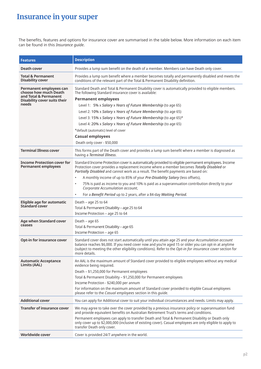# <span id="page-2-0"></span>**Insurance in your super**

The benefits, features and options for insurance cover are summarised in the table below. More information on each item can be found in this *Insurance guide*.

| <b>Features</b>                                                                                                           | <b>Description</b>                                                                                                                                                                                                                                                                                                                                                                               |
|---------------------------------------------------------------------------------------------------------------------------|--------------------------------------------------------------------------------------------------------------------------------------------------------------------------------------------------------------------------------------------------------------------------------------------------------------------------------------------------------------------------------------------------|
| <b>Death cover</b>                                                                                                        | Provides a lump sum benefit on the death of a member. Members can have Death only cover.                                                                                                                                                                                                                                                                                                         |
| <b>Total &amp; Permanent</b><br><b>Disability cover</b>                                                                   | Provides a lump sum benefit where a member becomes totally and permanently disabled and meets the<br>conditions of the relevant part of the Total & Permanent Disability definition.                                                                                                                                                                                                             |
| Permanent employees can<br>choose how much Death<br>and Total & Permanent<br><b>Disability cover suits their</b><br>needs | Standard Death and Total & Permanent Disability cover is automatically provided to eligible members.<br>The following Standard insurance cover is available:<br><b>Permanent employees</b><br>Level 1: 5% x Salary x Years of Future Membership (to age 65)<br>Level 2: 10% x Salary x Years of Future Membership (to age 65)<br>Level 3: 15% x Salary x Years of Future Membership (to age 65)* |
|                                                                                                                           | Level 4: 20% x Salary x Years of Future Membership (to age 65)<br>*default (automatic) level of cover                                                                                                                                                                                                                                                                                            |
|                                                                                                                           | <b>Casual employees</b>                                                                                                                                                                                                                                                                                                                                                                          |
|                                                                                                                           | Death only cover - \$50,000                                                                                                                                                                                                                                                                                                                                                                      |
| <b>Terminal Illness cover</b>                                                                                             | This forms part of the Death cover and provides a lump sum benefit where a member is diagnosed as<br>having a Terminal Illness.                                                                                                                                                                                                                                                                  |
| <b>Income Protection cover for</b><br><b>Permanent employees</b>                                                          | Standard Income Protection cover is automatically provided to eligible permanent employees. Income<br>Protection cover provides a replacement income where a member becomes Totally Disabled or<br>Partially Disabled and cannot work as a result. The benefit payments are based on:                                                                                                            |
|                                                                                                                           | A monthly income of up to 85% of your Pre-Disability Salary (less offsets),                                                                                                                                                                                                                                                                                                                      |
|                                                                                                                           | 75% is paid as income to you and 10% is paid as a superannuation contribution directly to your<br>Corporate Accumulation account,                                                                                                                                                                                                                                                                |
|                                                                                                                           | For a Benefit Period up to 2 years, after a 84-day Waiting Period.                                                                                                                                                                                                                                                                                                                               |
| <b>Eligible age for automatic</b><br><b>Standard cover</b>                                                                | Death – age 25 to 64<br>Total & Permanent Disability - age 25 to 64<br>Income Protection - age 25 to 64                                                                                                                                                                                                                                                                                          |
| <b>Age when Standard cover</b><br>ceases                                                                                  | Death - age 65<br>Total & Permanent Disability - age 65<br>Income Protection - age 65                                                                                                                                                                                                                                                                                                            |
| Opt-in for insurance cover                                                                                                | Standard cover does not start automatically until you attain age 25 and your Accumulation account<br>balance reaches \$6,000. If you need cover now and you're aged 15 or older you can opt-in at anytime<br>(subject to meeting the other eligibility conditions). Refer to the Opt-in for insurance cover section for<br>more details.                                                         |
| <b>Automatic Acceptance</b><br>Limits (AAL)                                                                               | An AAL is the maximum amount of Standard cover provided to eligible employees without any medical<br>evidence being required.                                                                                                                                                                                                                                                                    |
|                                                                                                                           | Death - \$1,250,000 for Permanent employees                                                                                                                                                                                                                                                                                                                                                      |
|                                                                                                                           | Total & Permanent Disability - \$1,250,000 for Permanent employees<br>Income Protection - \$240,000 per annum                                                                                                                                                                                                                                                                                    |
|                                                                                                                           | For information on the maximum amount of Standard cover provided to eligible Casual employees<br>please refer to the Casual employees section in this quide.                                                                                                                                                                                                                                     |
| <b>Additional cover</b>                                                                                                   | You can apply for Additional cover to suit your individual circumstances and needs. Limits may apply.                                                                                                                                                                                                                                                                                            |
| <b>Transfer of insurance cover</b>                                                                                        | We may agree to take over the cover provided by a previous insurance policy or superannuation fund<br>and provide equivalent benefits on Australian Retirement Trust's terms and conditions.                                                                                                                                                                                                     |
|                                                                                                                           | Permanent employees can apply to transfer Death and Total & Permanent Disability or Death only<br>only cover up to \$2,000,000 (inclusive of existing cover). Casual employees are only eligible to apply to<br>transfer Death only cover.                                                                                                                                                       |
| <b>Worldwide cover</b>                                                                                                    | Cover is provided 24/7 anywhere in the world.                                                                                                                                                                                                                                                                                                                                                    |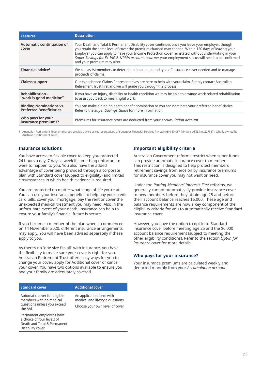| <b>Features</b>                                                  | <b>Description</b>                                                                                                                                                                                                                                                                                                                                                                                                                                |
|------------------------------------------------------------------|---------------------------------------------------------------------------------------------------------------------------------------------------------------------------------------------------------------------------------------------------------------------------------------------------------------------------------------------------------------------------------------------------------------------------------------------------|
| <b>Automatic continuation of</b><br>cover                        | Your Death and Total & Permanent Disability cover continues once you leave your employer, though<br>you retain the same level of cover the premium charged may change. Within 120 days of leaving your<br>Employer you can apply to have your Income Protection cover reinstated without underwriting in your<br>Super Savings for Ex-IAG & NRMA account, however your employment status will need to be confirmed<br>and your premium may alter. |
| Financial advice <sup>1</sup>                                    | We can assist members to determine the amount and type of insurance cover needed and to manage<br>proceeds of claims.                                                                                                                                                                                                                                                                                                                             |
| <b>Claims support</b>                                            | Our experienced Claims Representatives are here to help with your claim. Simply contact Australian<br>Retirement Trust first and we will quide you through the process.                                                                                                                                                                                                                                                                           |
| <b>Rehabilitation -</b><br>"work is good medicine"               | If you have an injury, disability or health condition we may be able to arrange work related rehabilitation<br>to assist you back to meaningful work.                                                                                                                                                                                                                                                                                             |
| <b>Binding Nominations vs.</b><br><b>Preferred Beneficiaries</b> | You can make a binding death benefit nomination or you can nominate your preferred beneficiaries.<br>Refer to the Super Savings Guide for more information.                                                                                                                                                                                                                                                                                       |
| Who pays for your<br>insurance premiums?                         | Premiums for insurance cover are deducted from your <i>Accumulation account</i> .                                                                                                                                                                                                                                                                                                                                                                 |

1 Australian Retirement Trust employees provide advice as representatives of Sunsuper Financial Services Pty Ltd (ABN 50 087 154 818, AFSL No. 227867), wholly owned by Australian Retirement Trust.

### **Insurance solutions**

You have access to flexible cover to keep you protected 24 hours a day, 7 days a week if something unfortunate were to happen to you. You also have the added advantage of cover being provided through a corporate plan with Standard cover (subject to eligibility) and limited circumstances in which health evidence is required.

You are protected no matter what stage of life you're at. You can use your insurance benefits to help pay your credit card bills, cover your mortgage, pay the rent or cover the unexpected medical treatment you may need. Also in the unfortunate event of your death, insurance can help to ensure your family's financial future is secure.

If you became a member of the plan when it commenced on 14 November 2020, different insurance arrangements may apply. You will have been advised separately if these apply to you.

As there's no "one size fits all" with insurance, you have the flexibility to make sure your cover is right for you. Australian Retirement Trust offers easy ways for you to change your cover, apply for Additional cover or cancel your cover. You have two options available to ensure you and your family are adequately covered.

#### **Standard cover Additional cover**

An application form with medical and lifestyle questions Choose your own level of cover

Automatic cover for eligible members with no medical questions unless you exceed the AAL

Permanent employees have a choice of four levels of Death and Total & Permanent Disability cover

### **Important eligibility criteria**

Australian Government reforms restrict when super funds can provide automatic insurance cover to members. This restriction is designed to help protect members retirement savings from erosion by insurance premiums for insurance cover you may not want or need.

Under the *Putting Members' Interests First* reforms, we generally cannot automatically provide insurance cover to new members before they attain age 25 and before their account balance reaches \$6,000. These age and balance requirements are now a key component of the eligibility criteria for you to automatically receive Standard insurance cover.

However, you have the option to opt-in to Standard insurance cover before meeting age 25 and the \$6,000 account balance requirement (subject to meeting the other eligibility conditions). Refer to the section *Opt-in for insurance cover* for more details.

#### **Who pays for your insurance?**

Your insurance premiums are calculated weekly and deducted monthly from your *Accumulation account*.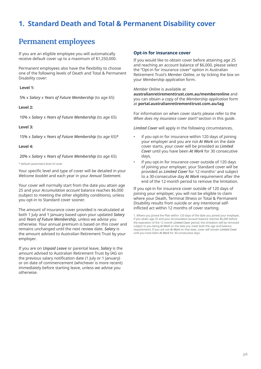# <span id="page-4-0"></span>**1. Standard Death and Total & Permanent Disability cover**

# **Permanent employees**

If you are an eligible employee you will automatically receive default cover up to a maximum of \$1,250,000.

Permanent employees also have the flexibility to choose one of the following levels of Death and Total & Permanent Disability cover:

#### **Level 1:**

5% x *Salary* x *Years of Future Membership* (to age 65)

#### **Level 2:**

10% x *Salary* x *Years of Future Membership* (to age 65)

#### **Level 3:**

15% x *Salary* x *Years of Future Membership* (to age 65)\*

#### **Level 4:**

20% x *Salary* x *Years of Future Membership* (to age 65)

\* default (automatic) level of cover

Your specific level and type of cover will be detailed in your *Welcome booklet* and each year in your *Annual Statement*.

Your cover will normally start from the date you attain age 25 and your *Accumulation account* balance reaches \$6,000 (subject to meeting the other eligibility conditions), unless you opt-in to Standard cover sooner.

The amount of insurance cover provided is recalculated at both 1 July and 1 January based upon your updated *Salary* and *Years of Future Membership*, unless we advise you otherwise. Your annual premium is based on this cover and remains unchanged until the next review date. *Salary* is the amount advised to Australian Retirement Trust by your employer.

If you are on *Unpaid Leave* or parental leave, *Salary* is the amount advised to Australian Retirement Trust by IAG on the previous salary notification date (1 July or 1 January) or on date of commencement (whichever is more recent) immediately before starting leave, unless we advise you otherwise.

#### **Opt-in for insurance cover**

If you would like to obtain cover before attaining age 25 and reaching an account balance of \$6,000, please select the "Opt-in for insurance cover" option in Australian Retirement Trust's *Member Online*, or by ticking the box on your *Membership application* form.

#### *Member Online* is available at

**[australianretirementtrust.com.au/memberonline](https://www.australianretirementtrust.com.au/memberonline?utm_source=document&utm_medium=pdf&utm_campaign=pds_and_guides)** and you can obtain a copy of the *Membership application* form at **portal.[australianretirementtrust.com.au/iag](https://portal.australianretirementtrust.com.au/iag?utm_source=document&utm_medium=pdf&utm_campaign=pds_and_guides)**

For information on when cover starts please refer to the *When does my insurance cover start?* section in this *guide*.

*Limited Cover* will apply in the following circumstances,

- if you opt-in for insurance within 120 days of joining your employer and you are not *At Work* on the date cover starts, your cover will be provided as *Limited Cover* until you have been *At Work* for 30 consecutive days,
- if you opt-in for insurance cover outside of 120 days of joining your employer, your Standard cover will be provided as *Limited Cover* for 12 months<sup>1</sup> and subject to a 30-consecutive day *At Work* requirement after the end of the 12-month period to remove the limitation.

If you opt-in for insurance cover outside of 120 days of joining your employer, you will not be eligible to claim where your Death, Terminal Illness or Total & Permanent Disability results from suicide or any intentional selfinflicted act within 12 months of cover starting.

1. Where you joined the Plan within 120 days of the date you joined your employer, if you attain age 25 and your *Accumulation account* balance reaches \$6,000 before the expiration of the 12 month *Limited Cover* period, this limitation will be removed subject to you being *At Work* on the date you meet both the age and balance requirements. If you are not *At Work* on that date, cover will remain *Limited Cover* until you have been *At Work* for 30 consecutive days.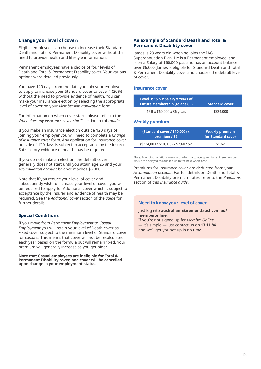### **Change your level of cover?**

Eligible employees can choose to increase their Standard Death and Total & Permanent Disability cover without the need to provide health and lifestyle information.

Permanent employees have a choice of four levels of Death and Total & Permanent Disability cover. Your various options were detailed previously.

You have 120 days from the date you join your employer to apply to increase your Standard cover to Level 4 (20%) without the need to provide evidence of health. You can make your insurance election by selecting the appropriate level of cover on your *Membership application* form.

For information on when cover starts please refer to the *When does my insurance cover start?* section in this *guide*.

If you make an insurance election outside 120 days of joining your employer you will need to complete a *Change of insurance cover* form. Any application for insurance cover outside of 120 days is subject to acceptance by the insurer. Satisfactory evidence of health may be required.

If you do not make an election, the default cover generally does not start until you attain age 25 and your *Accumulation account* balance reaches \$6,000.

Note that if you reduce your level of cover and subsequently wish to increase your level of cover, you will be required to apply for Additional cover which is subject to acceptance by the insurer and evidence of health may be required. See the *Additional cover* section of the *guide* for further details.

# **Special Conditions**

If you move from *Permanent Employment* to *Casual Employment* you will retain your level of Death cover as Fixed cover subject to the minimum level of Standard cover for casuals. This means that cover will not be recalculated each year based on the formula but will remain fixed. Your premium will generally increase as you get older.

**Note that Casual employees are ineligible for Total & Permanent Disability cover, and cover will be cancelled upon change in your employment status.** 

#### **An example of Standard Death and Total & Permanent Disability cover**

James is 29 years old when he joins the IAG Superannuation Plan. He is a Permanent employee, and is on a Salary of \$60,000 p.a. and has an account balance over \$6,000. James is eligible for Standard Death and Total & Permanent Disability cover and chooses the default level of cover.

#### **Insurance cover**

| Level 3: 15% x Salary x Years of<br><b>Future Membership (to age 65)</b> | <b>Standard cover</b> |
|--------------------------------------------------------------------------|-----------------------|
| 15% x \$60,000 x 36 years                                                | \$324,000             |

#### **Weekly premium**

| <u>(Stand</u> ard cover / \$10,000) x | <b>Weekly premium</b> |
|---------------------------------------|-----------------------|
| premium / 52                          | for Standard cover    |
| (\$324,000 / \$10,000) x \$2.60 / 52  | \$1.62                |

**Note:** Rounding variations may occur when calculating premiums. Premiums per week are displayed as rounded up to the next whole cent.

Premiums for insurance cover are deducted from your *Accumulation account*. For full details on Death and Total & Permanent Disability premium rates, refer to the *Premiums* section of this *Insurance guide*.

### **Need to know your level of cover**

#### Just log into **[australianretirementtrust.com.au/](https://www.australianretirementtrust.com.au/memberonline?utm_source=document&utm_medium=pdf&utm_campaign=pds_and_guides) [memberonline](https://www.australianretirementtrust.com.au/memberonline?utm_source=document&utm_medium=pdf&utm_campaign=pds_and_guides)**.

If you're not signed up for *Member Online* — it's simple — just contact us on **13 11 84** and we'll get you set up in no time..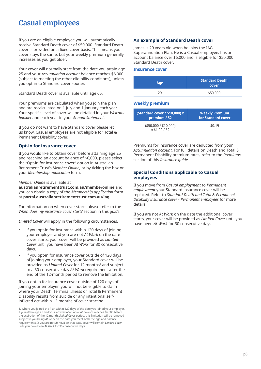# <span id="page-6-0"></span>**Casual employees**

If you are an eligible employee you will automatically receive Standard Death cover of \$50,000. Standard Death cover is provided on a fixed cover basis. This means your cover stays the same, but your weekly premium generally increases as you get older.

Your cover will normally start from the date you attain age 25 and your *Accumulation account* balance reaches \$6,000 (subject to meeting the other eligibility conditions), unless you opt-in to Standard cover sooner.

Standard Death cover is available until age 65.

Your premiums are calculated when you join the plan and are recalculated on 1 July and 1 January each year. Your specific level of cover will be detailed in your *Welcome booklet* and each year in your *Annual Statement*.

If you do not want to have Standard cover please let us know. Casual employees are not eligible for Total & Permanent Disability cover.

#### **Opt-in for insurance cover**

If you would like to obtain cover before attaining age 25 and reaching an account balance of \$6,000, please select the "Opt-in for insurance cover" option in Australian Retirement Trust's *Member Online*, or by ticking the box on your *Membership application* form.

#### *Member Online* is available at

**[australianretirementtrust.com.au/memberonline](https://www.australianretirementtrust.com.au/memberonline?utm_source=document&utm_medium=pdf&utm_campaign=pds_and_guides)** and you can obtain a copy of the *Membership application* form at **[portal.australianretirementtrust.com.au/iag](https://portal.australianretirementtrust.com.au/iag?utm_source=document&utm_medium=pdf&utm_campaign=pds_and_guides)**

For information on when cover starts please refer to the *When does my insurance cover start?* section in this *guide*.

*Limited Cover* will apply in the following circumstances,

- if you opt-in for insurance within 120 days of joining your employer and you are not *At Work* on the date cover starts, your cover will be provided as *Limited Cover* until you have been *At Work* for 30 consecutive days,
- if you opt-in for insurance cover outside of 120 days of joining your employer, your Standard cover will be provided as *Limited Cover* for 12 months<sup>1</sup> and subject to a 30-consecutive day *At Work* requirement after the end of the 12-month period to remove the limitation.

If you opt-in for insurance cover outside of 120 days of joining your employer, you will not be eligible to claim where your Death, Terminal Illness or Total & Permanent Disability results from suicide or any intentional selfinflicted act within 12 months of cover starting.

#### **An example of Standard Death cover**

James is 29 years old when he joins the IAG Superannuation Plan. He is a Casual employee, has an account balance over \$6,000 and is eligible for \$50,000 Standard Death cover.

#### **Insurance cover**

| Age | <b>Standard Death</b><br>cover |
|-----|--------------------------------|
| າຊ  | \$50,000                       |

#### **Weekly premium**

| (Standard cover / \$10,000) x        | <b>Weekly Premium</b> |
|--------------------------------------|-----------------------|
| premium / 52                         | for Standard cover    |
| (\$50,000 / \$10,000)<br>x \$1.90/52 | \$0.19                |

Premiums for insurance cover are deducted from your *Accumulation account*. For full details on Death and Total & Permanent Disability premium rates, refer to the *Premiums* section of this *Insurance guide*.

#### **Special Conditions applicable to Casual employees**

If you move from *Casual employment* to *Permanent employment* your Standard insurance cover will be replaced. Refer to *Standard Death and Total & Permanent Disability insurance cover - Permanent employees* for more details.

If you are not *At Work* on the date the additional cover starts, your cover will be provided as *Limited Cover* until you have been *At Work* for 30 consecutive days

<sup>1.</sup> Where you joined the Plan within 120 days of the date you joined your employer, if you attain age 25 and your *Accumulation account* balance reaches \$6,000 before the expiration of the 12 month *Limited Cover* period, this limitation will be removed subject to you being *At Work* on the date you meet both the age and balance requirements. If you are not *At Work* on that date, cover will remain *Limited Cover* until you have been *At Work* for 30 consecutive days.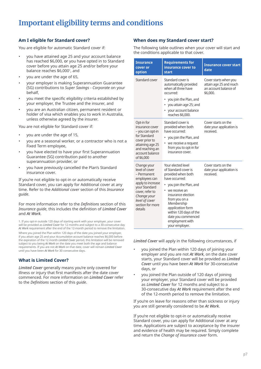# <span id="page-7-0"></span>**Important eligibility terms and conditions**

# **Am I eligible for Standard cover?**

You are eligible for automatic Standard cover if:

- you have attained age 25 and your account balance has reached \$6,000, or you have opted in to Standard cover before you attain age 25 and/or before your balance reaches \$6,0001 , and
- you are under the age of 65,
- your employer is making Superannuation Guarantee (SG) contributions to *Super Savings - Corporate* on your behalf,
- you meet the specific eligibility criteria established by your employer, the Trustee and the insurer, and
- you are an Australian citizen, permanent resident or holder of visa which enables you to work in Australia, unless otherwise agreed by the insurer.

You are not eligible for Standard cover if:

- you are under the age of 15,
- you are a seasonal worker, or a contractor who is not a Fixed Term employee,
- you have elected to have your first Superannuation Guarantee (SG) contribution paid to another superannuation provider, or
- you have previously cancelled the Plan's Standard insurance cover.

If you're not eligible to opt-in or automatically receive Standard cover, you can apply for Additional cover at any time. Refer to the *Additional cover* section of this *Insurance guide*.

#### For more information refer to the *Definitions* section of this *Insurance guide*, this includes the definition of *Limited Cover* and *At Work*.

1. If you opt-in outside 120 days of starting work with your employer, your cover will be provided as *Limited Cover* for 12 months and subject to a 30-consecutive day *[At Work](DBF_At_Work)* requirement after the end of the 12-month period to remove the limitation.

Where you joined the Plan within 120 days of the date you joined your employer, if you attain age 25 and your *Accumulation account* balance reaches \$6,000 before the expiration of the 12 month *Limited Cover* period, this limitation will be removed subject to you being *At Work* on the date you meet both the age and balance requirements. If you are not *At Work* on that date, cover will remain *Limited Cover* until you have been *At Work* for 30 consecutive days.

# **What is Limited Cover?**

*Limited Cover* generally means you're only covered for illness or injury that first manifests after the date cover commenced. For more information on *Limited Cover* refer to the *Definitions* section of this *guide*.

# **When does my Standard cover start?**

The following table outlines when your cover will start and the conditions applicable to that cover.

| <b>Insurance</b><br>cover or<br>option                                                                                                                                                 | <b>Requirements for</b><br>insurance cover to<br>start                                                                                                                                                                                                                                      | <b>Insurance cover start</b><br>date                                                  |
|----------------------------------------------------------------------------------------------------------------------------------------------------------------------------------------|---------------------------------------------------------------------------------------------------------------------------------------------------------------------------------------------------------------------------------------------------------------------------------------------|---------------------------------------------------------------------------------------|
| Standard cover                                                                                                                                                                         | Standard cover is<br>automatically provided<br>when all three have<br>occurred:<br>you join the Plan, and<br>٠<br>you attain age 25; and<br>your account balance<br>reaches \$6,000.                                                                                                        | Cover starts when you<br>attain age 25 and reach<br>an account balance of<br>\$6,000. |
| Opt-in for<br>insurance cover<br>- you can opt-in<br>for Standard<br>cover prior to<br>attaining age 25<br>and reaching an<br>account balance<br>of \$6,000                            | Standard cover is<br>provided when both<br>have occurred:<br>you join the Plan, and<br>we receive a request<br>from you to opt-in for<br>insurance cover.                                                                                                                                   | Cover starts on the<br>date your application is<br>heviera                            |
| Change your<br>level of cover<br>– Permanent<br>employees can<br>apply to increase<br>your Standard<br>cover, refer to<br>Change your<br>level of cover<br>section for more<br>details | Your elected level<br>of Standard cover is<br>provided when both<br>have occurred:<br>you join the Plan, and<br>we receive an<br>insurance election<br>from you on a<br>Membership<br>application form<br>within 120 days of the<br>date you commenced<br>employment with<br>your employer. | Cover starts on the<br>date your application is<br>received.                          |

*Limited Cover* will apply in the following circumstances, if

- you joined the Plan within 120 days of joining your employer and you are not *At Work*, on the date cover starts, your Standard cover will be provided as *Limited Cover* until you have been *At Work* for 30-consecutive days, or
- you joined the Plan outside of 120 days of joining your employer, your Standard cover will be provided as *Limited Cover* for 12 months and subject to a 30-consecutive day *At Work* requirement after the end of the 12-month period to remove the limitation.

If you're on leave for reasons other than sickness or injury you are still generally considered to be *At Work*.

If you're not eligible to opt-in or automatically receive Standard cover, you can apply for Additional cover at any time. Applications are subject to acceptance by the insurer and evidence of health may be required. Simply complete and return the *Change of insurance cover* form.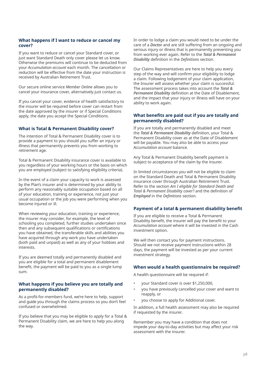#### **What happens if I want to reduce or cancel my cover?**

If you want to reduce or cancel your Standard cover, or just want Standard Death only cover please let us know. Otherwise the premiums will continue to be deducted from your *Accumulation account* each month. The cancellation or reduction will be effective from the date your instruction is received by Australian Retirement Trust.

Our secure online service *Member Online* allows you to cancel your insurance cover, alternatively just contact us.

If you cancel your cover, evidence of health satisfactory to the insurer will be required before cover can restart from the date approved by the insurer or if Special Conditions apply, the date you accept the Special Conditions.

### **What is Total & Permanent Disability cover?**

The intention of Total & Permanent Disability cover is to provide a payment to you should you suffer an injury or illness that permanently prevents you from working to retirement age.

Total & Permanent Disability insurance cover is available to you regardless of your working hours or the basis on which you are employed (subject to satisfying eligibility criteria).

In the event of a claim your capacity to work is assessed by the Plan's insurer and is determined by your ability to perform any reasonably suitable occupation based on all of your education, training or experience, not just your usual occupation or the job you were performing when you become injured or ill.

When reviewing your education, training or experience, the insurer may consider, for example, the level of schooling you completed, further studies undertaken since then and any subsequent qualifications or certifications you have obtained, the transferable skills and abilities you have acquired through any work you have undertaken (both paid and unpaid) as well as any of your hobbies and interests.

If you are deemed totally and permanently disabled and you are eligible for a total and permanent disablement benefit, the payment will be paid to you as a single lump sum.

#### **What happens if you believe you are totally and permanently disabled?**

As a profit-for-members fund, we're here to help, support and guide you through the claims process so you don't feel confused or overwhelmed.

If you believe that you may be eligible to apply for a Total & Permanent Disability claim, we are here to help you along the way.

In order to lodge a claim you would need to be under the care of a *Doctor* and are still suffering from an ongoing and serious injury or illness that is permanently preventing you from working ever again. Refer to the *Total & Permanent Disability* definition in the *Definitions* section.

Our Claims Representatives are here to help you every step of the way and will confirm your eligibility to lodge a claim. Following lodgement of your claim application, the Insurer will assess whether your claim is successful. The assessment process takes into account the *Total & Permanent Disability* definition at the Date of Disablement, and the impact that your injury or illness will have on your ability to work again.

#### **What benefits are paid out if you are totally and permanently disabled?**

If you are totally and permanently disabled and meet the *Total & Permanent Disability* definition, your Total & Permanent Disability cover as at the Date of Disablement will be payable. You may also be able to access your *Accumulation account* balance.

Any Total & Permanent Disability benefit payment is subject to acceptance of the claim by the insurer.

In limited circumstances you will not be eligible to claim on the Standard Death and Total & Permanent Disability insurance cover through Australian Retirement Trust. Refer to the section *Am I eligible for Standard Death and Total & Permanent Disability cover?* and the definition of *Employed* in the *Definitions* section.

### **Payment of a total & permanent disability benefit**

If you are eligible to receive a Total & Permanent Disability benefit, the insurer will pay the benefit to your *Accumulation account* where it will be invested in the Cash investment option.

We will then contact you for payment instructions. Should we not receive payment instructions within 28 days, the payment will be invested as per your current investment strategy.

### **When would a health questionnaire be required?**

A health questionnaire will be required if:

- your Standard cover is over \$1,250,000,
- you have previously cancelled your cover and want to reapply, or
- you choose to apply for Additional cover.

In addition, a full health assessment may also be required if requested by the insurer.

Remember you may have a condition that does not impede your day-to-day activities but may affect your risk assessment with the insurer.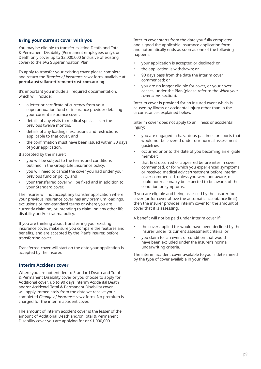#### **Bring your current cover with you**

You may be eligible to transfer existing Death and Total & Permanent Disability (Permanent employees only), or Death only cover up to \$2,000,000 (inclusive of existing cover) to the IAG Superannuation Plan.

To apply to transfer your existing cover please complete and return the *Transfer of insurance cover* form, available at **portal[.australianretirementtrust.com.au/iag](https://portal.australianretirementtrust.com.au/iag?utm_source=document&utm_medium=pdf&utm_campaign=pds_and_guides)**

It's important you include all required documentation, which will include:

- a letter or certificate of currency from your superannuation fund or insurance provider detailing your current insurance cover,
- details of any visits to medical specialists in the previous twelve months,
- details of any loadings, exclusions and restrictions applicable to that cover, and
- the confirmation must have been issued within 30 days of your application.

If accepted by the insurer:

- you will be subject to the terms and conditions outlined in the Group Life Insurance policy,
- you will need to cancel the cover you had under your previous fund or policy, and
- your transferred cover will be fixed and in addition to your Standard cover.

The insurer will not accept any transfer application where your previous insurance cover has any premium loadings, exclusions or non-standard terms or where you are currently claiming, or intending to claim, on any other life, disability and/or trauma policy.

If you are thinking about transferring your existing insurance cover, make sure you compare the features and benefits, and are accepted by the Plan's insurer, before transferring cover.

Transferred cover will start on the date your application is accepted by the insurer.

### **Interim Accident cover**

Where you are not entitled to Standard Death and Total & Permanent Disability cover or you choose to apply for Additional cover, up to 90 days interim Accidental Death and/or Accidental Total & Permanent Disability cover will apply immediately from the date we receive your completed *Change of insurance cover* form. No premium is charged for the interim accident cover.

The amount of interim accident cover is the lesser of the amount of Additional Death and/or Total & Permanent Disability cover you are applying for or \$1,000,000.

Interim cover starts from the date you fully completed and signed the applicable insurance application form and automatically ends as soon as one of the following happens:

- your application is accepted or declined; or
- the application is withdrawn; or
- 90 days pass from the date the interim cover commenced; or
- you are no longer eligible for cover, or your cover ceases, under the Plan (please refer to the *When your cover stops* section).

Interim cover is provided for an insured event which is caused by illness or accidental injury other than in the circumstances explained below.

Interim cover does not apply to an illness or accidental injury:

- you are engaged in hazardous pastimes or sports that would not be covered under our normal assessment guidelines;
- occurred prior to the date of you becoming an eligible member;
- that first occurred or appeared before interim cover commenced, or for which you experienced symptoms or received medical advice/treatment before interim cover commenced, unless you were not aware, or could not reasonably be expected to be aware, of the condition or symptoms.

If you are eligible and being assessed by the insurer for cover (or for cover above the automatic acceptance limit) then the insurer provides interim cover for the amount of cover that it is assessing.

A benefit will not be paid under interim cover if:

- the cover applied for would have been declined by the insurer under its current assessment criteria; or
- you claim for an event or condition that would have been excluded under the insurer's normal underwriting criteria.

The interim accident cover available to you is determined by the type of cover available in your Plan.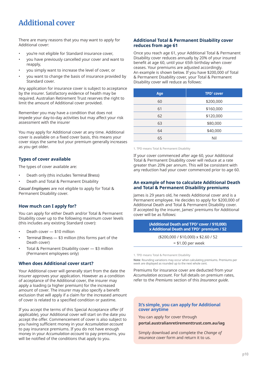# <span id="page-10-0"></span>**Additional cover**

There are many reasons that you may want to apply for Additional cover:

- you're not eligible for Standard insurance cover,
- you have previously cancelled your cover and want to reapply,
- you simply want to increase the level of cover, or
- you want to change the basis of insurance provided by Standard cover.

Any application for insurance cover is subject to acceptance by the insurer. Satisfactory evidence of health may be required. Australian Retirement Trust reserves the right to limit the amount of Additional cover provided.

Remember you may have a condition that does not impede your day-to-day activities but may affect your risk assessment with the insurer

You may apply for Additional cover at any time. Additional cover is available on a fixed cover basis, this means your cover stays the same but your premium generally increases as you get older.

# **Types of cover available**

The types of cover available are:

- Death only (this includes Terminal Illness)
- Death and Total & Permanent Disability

*Casual Employees* are not eligible to apply for Total & Permanent Disability cover.

### **How much can I apply for?**

You can apply for either Death and/or Total & Permanent Disability cover up to the following maximum cover levels (this includes any existing Standard cover):

- Death cover \$10 million
- Terminal Illness \$3 million (this forms part of the Death cover)
- Total & Permanent Disability cover \$3 million (Permanent employees only)

### **When does Additional cover start?**

Your Additional cover will generally start from the date the insurer approves your application. However as a condition of acceptance of the Additional cover, the insurer may apply a loading (a higher premium) for the increased amount of cover. The insurer may also specify a benefit exclusion that will apply if a claim for the increased amount of cover is related to a specified condition or pastime.

If you accept the terms of this Special Acceptance offer (if applicable), your Additional cover will start on the date you accept the offer. Commencement of cover is also subject to you having sufficient money in your *Accumulation account* to pay insurance premiums. If you do not have enough money in your *Accumulation account* to pay premiums, you will be notified of the conditions that apply to you.

### **Additional Total & Permanent Disability cover reduces from age 61**

Once you reach age 61, your Additional Total & Permanent Disability cover reduces annually by 20% of your insured benefit at age 60, until your 65th birthday when cover ceases. Your premiums are adjusted accordingly. An example is shown below. If you have \$200,000 of Total & Permanent Disability cover, your Total & Permanent Disability cover will reduce as follows:

| Age | TPD <sup>1</sup> cover |
|-----|------------------------|
| 60  | \$200,000              |
| 61  | \$160,000              |
| 62  | \$120,000              |
| 63  | \$80,000               |
| 64  | \$40,000               |
| 65  | Nil                    |

1. TPD means Total & Permanent Disability

If your cover commenced after age 60, your Additional Total & Permanent Disability cover will reduce at a rate greater than 20% per annum. This will be consistent with any reduction had your cover commenced prior to age 60.

#### **An example of how to calculate Additional Death and Total & Permanent Disability premiums**

James is 29 years old, he needs Additional cover and is a Permanent employee. He decides to apply for \$200,000 of Additional Death and Total & Permanent Disability cover. If accepted by the insurer, James' premiums for Additional cover will be as follows:

#### **(Additional Death and TPD1 cover / \$10,000) x Additional Death and TPD1 premium / 52**

(\$200,000 / \$10,000) x \$2.60 / 52

= \$1.00 per week

1. TPD means Total & Permanent Disability

**Note**: Rounding variations may occur when calculating premiums. Premiums per week are displayed as rounded up to the next whole cent.

Premiums for insurance cover are deducted from your *Accumulation account*. For full details on premium rates, refer to the *Premiums* section of this *Insurance guide*.

#### **It's simple, you can apply for Additional cover anytime**

You can apply for cover through **portal[.australianretirementtrust.com.au/iag](https://www.australianretirementtrust.com.au/privacy?utm_source=document&utm_medium=pdf&utm_campaign=pds_and_guides)** 

Simply download and complete the *Change of insurance cover* form and return it to us.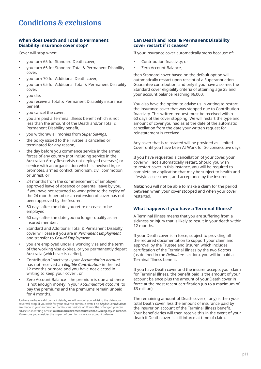# <span id="page-11-0"></span>**Conditions & exclusions**

#### **When does Death and Total & Permanent Disability insurance cover stop?**

Cover will stop when:

- you turn 65 for Standard Death cover,
- you turn 65 for Standard Total & Permanent Disability cover
- you turn 70 for Additional Death cover,
- you turn 65 for Additional Total & Permanent Disability cover,
- you die,
- you receive a Total & Permanent Disability insurance benefit,
- you cancel the cover,
- you are paid a Terminal Illness benefit which is not less than the amount of the Death and/or Total & Permanent Disability benefit,
- you withdraw all monies from *Super Savings*,
- the policy issued to the Trustee is cancelled or terminated for any reason,
- the day before you commence service in the armed forces of any country (not including service in the Australian Army Reservists not deployed overseas) or service with an organisation which is involved in, or promotes, armed conflict, terrorism, civil commotion or unrest, or
- 24 months from the commencement of Employer approved leave of absence or parental leave by you, if you have not returned to work prior to the expiry of the 24 month period or an extension of cover has not been approved by the Insurer,
- 60 days after the date you retire or cease to be employed,
- 60 days after the date you no longer qualify as an insured member,
- Standard and Additional Total & Permanent Disabilty cover will cease if you are in *Permanent Employment*  and transfer to *Casual Employment*,
- you are employed under a working visa and the term of the working visa expires, or you permanently depart Australia (whichever is earlier),
- Contribution Inactivity your *Accumulation account* has not received an *Eligible Contribution* in the last 12 months or more and you have not elected in writing to keep your cover<sup>1</sup>, or
- Zero Account Balance the premium is due and there is not enough money in your *Accumulation account* to pay the premiums and the premiums remain unpaid for 4 months.

1.Where we have valid contact details, we will contact you advising the date your cover will stop. If you wish for your cover to continue even if no *Eligible Contributions* are made to your account for continuous periods of 12 months or longer, you can advise us in writing or visit **[australianretirementtrust.com.au/keep-my-insurance](https://www.australianretirementtrust.com.au/keep-my-insurance?utm_source=document&utm_medium=pdf&utm_campaign=pds_and_guides)**. Make sure you consider the impact of premiums on your account balance.

### **Can Death and Total & Permanent Disability cover restart if it ceases?**

If your insurance cover automatically stops because of:

- Contribution Inactivity; or
- Zero Account Balance,

then Standard cover based on the default option will automatically restart upon receipt of a Superannuation Guarantee contribution, and only if you have also met the Standard cover eligibility criteria of attaining age 25 and your account balance reaching \$6,000.

You also have the option to advise us in writing to restart the insurance cover that was stopped due to Contribution Inactivity. This written request must be received within 60 days of the cover stopping. We will restart the type and amount of cover you had as at the date of the automatic cancellation from the date your written request for reinstatement is received.

Any cover that is reinstated will be provided as Limited Cover until you have been At Work for 30 consecutive days.

If you have requested a cancellation of your cover, your cover will **not** automatically restart. Should you wish to restart cover in this instance, you will be required to complete an application that may be subject to health and lifestyle assessment, and acceptance by the insurer.

**Note:** You will not be able to make a claim for the period between when your cover stopped and when your cover restarted.

### **What happens if you have a Terminal Illness?**

A Terminal Illness means that you are suffering from a sickness or injury that is likely to result in your death within 12 months.

If your Death cover is in force, subject to providing all the required documentation to support your claim and approval by the Trustee and Insurer, which includes certification of the Terminal Illness by the two *Doctors* (as defined in the *Definitions* section), you will be paid a Terminal Illness benefit.

If you have Death cover and the insurer accepts your claim for Terminal Illness, the benefit paid is the amount of your account balance plus the amount of your Death cover in force at the most recent certification (up to a maximum of \$3 million).

The remaining amount of Death cover (if any) is then your total Death cover, less the amount of insurance paid by the insurer on account of the Terminal Illness benefit. Your beneficiaries will then receive this in the event of your death if Death cover is still inforce at time of claim.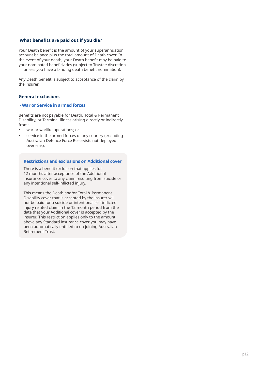### **What benefits are paid out if you die?**

Your Death benefit is the amount of your superannuation account balance plus the total amount of Death cover. In the event of your death, your Death benefit may be paid to your nominated beneficiaries (subject to Trustee discretion — unless you have a binding death benefit nomination).

Any Death benefit is subject to acceptance of the claim by the insurer.

#### **General exclusions**

#### **- War or Service in armed forces**

Benefits are not payable for Death, Total & Permanent Disability, or Terminal Illness arising directly or indirectly from:

- war or warlike operations; or
- service in the armed forces of any country (excluding Australian Defence Force Reservists not deployed overseas).

#### **Restrictions and exclusions on Additional cover**

There is a benefit exclusion that applies for 12 months after acceptance of the Additional insurance cover to any claim resulting from suicide or any intentional self-inflicted injury.

This means the Death and/or Total & Permanent Disability cover that is accepted by the insurer will not be paid for a suicide or intentional self-inflicted injury related claim in the 12 month period from the date that your Additional cover is accepted by the insurer. This restriction applies only to the amount above any Standard insurance cover you may have been automatically entitled to on joining Australian Retirement Trust.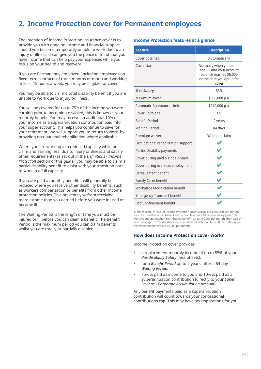# <span id="page-13-0"></span>**2. Income Protection cover for Permanent employees**

The intention of Income Protection insurance cover is to provide you with ongoing income and financial support, should you become temporarily unable to work due to an injury or illness. It can give you the peace of mind that you have income that can help pay your expenses while you focus on your health and recovery.

If you are Permanently employed (including employees on fixed term contracts of three months or more) and working at least 15 hours a week, you may be eligible for cover.

You may be able to claim a total disability benefit if you are unable to work due to injury or illness.

You will be covered for up to 75% of the income you were earning prior to becoming disabled; this is known as your monthly benefit. You may receive an additional 10% of your income as a superannuation contribution paid into your super account. This helps you continue to save for your retirement. We will support you to return to work, by providing occupational rehabilitation where applicable.

Where you are working in a reduced capacity while on claim and earning less, due to injury or illness and satisfy other requirements (as set out in the *Definitions - Income Protection* section of this *guide*), you may be able to claim a partial disability benefit to assist with your transition back to work in a full capacity.

If you are paid a monthly benefit it will generally be reduced where you receive other disability benefits, such as workers compensation or benefits from other income protection policies. This prevents you from receiving more income than you earned before you were injured or became ill.

The Waiting Period is the length of time you must be injured or ill before you can claim a benefit. The Benefit Period is the maximum period you can claim benefits whilst you are totally or partially disabled.

#### **Income Protection features at a glance**

| <b>Feature</b>                      | <b>Description</b>                                                                                                    |
|-------------------------------------|-----------------------------------------------------------------------------------------------------------------------|
| Cover obtained                      | Automatically                                                                                                         |
| Cover starts                        | Normally when you attain<br>age 25 and your account<br>balance reaches \$6,000<br>or the date you opt-in for<br>cover |
| % of Salary                         | 85%                                                                                                                   |
| Maximum cover                       | \$600,000 p.a.                                                                                                        |
| Automatic Acceptance Limit          | \$240,000 p.a.                                                                                                        |
| Cover up to age                     | 65                                                                                                                    |
| <b>Benefit Period</b>               | 2 years                                                                                                               |
| <b>Waiting Period</b>               | 84 days                                                                                                               |
| Premium waiver                      | When on claim                                                                                                         |
| Occupational rehabilitation support |                                                                                                                       |
| Partial Disability payments         |                                                                                                                       |
| Cover during paid & Unpaid leave    |                                                                                                                       |
| Cover during overseas employment    |                                                                                                                       |
| Bereavement benefit                 | $\zeta$  < < < < < < <                                                                                                |
| Family Carer benefit                |                                                                                                                       |
| Workplace Modification benefit      |                                                                                                                       |
| <b>Emergency Transport benefit</b>  |                                                                                                                       |
| <b>Bed Confinement Benefit</b>      |                                                                                                                       |

1. The maximum level of Income Protection cover available is \$600,000 per annum. Your Income Protection benefit will be calculated as 75% of your salary (plus 10% Monthly superannuation contribution benefit) up to \$30,000 per month; then 25% of your salary (plus 10% Monthly superannuation contribution benefit) thereafter up to the maximum benefit of \$50,000 per month.

#### **How does Income Protection cover work?**

Income Protection cover provides:

- a replacement monthly income of up to 85% of your *Pre-Disability Salary* (less offsets),
- for a *Benefit Period* up to 2 years, after a 84-day *Waiting Period,*
- 75% is paid as income to you and 10% is paid as a superannuation contribution (directly to your *Super Savings - Corporate Accumulation account*).

Any benefit payments paid as a superannuation contribution will count towards your concessional contributions cap. This may have tax implications for you.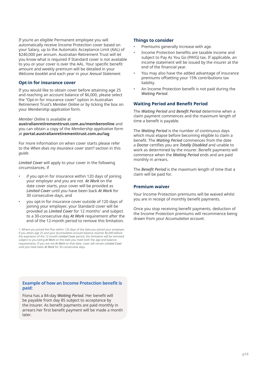If you're an eligible Permanent employee you will automatically receive Income Protection cover based on your Salary, up to the Automatic Acceptance Limit (AAL) of \$240,000 per annum. Australian Retirement Trust will let you know what is required if Standard cover is not available to you or your cover is over the AAL. Your specific benefit amount and weekly premium will be detailed in your *Welcome booklet* and each year in your *Annual Statement*.

#### **Opt-in for insurance cover**

If you would like to obtain cover before attaining age 25 and reaching an account balance of \$6,000, please select the "Opt-in for insurance cover" option in Australian Retirement Trust's *Member Online* or by ticking the box on your *Membership application* form.

#### *Member Online* is available at

**[australianretirementtrust.com.au/memberonline](https://www.australianretirementtrust.com.au/memberonline?utm_source=document&utm_medium=pdf&utm_campaign=pds_and_guides)** and you can obtain a copy of the *Membership application* form at **[portal.australianretirementtrust.com.au/iag](https://portal.australianretirementtrust.com.au/iag?utm_source=document&utm_medium=pdf&utm_campaign=pds_and_guides)**

For more information on when cover starts please refer to the *When does my insurance cover start?* section in this *guide*.

*Limited Cover* will apply to your cover in the following circumstances, if

- if you opt-in for insurance within 120 days of joining your employer and you are not *At Work* on the date cover starts, your cover will be provided as *Limited Cover* until you have been back *At Work* for 30 consecutive days, and
- you opt-in for insurance cover outside of 120 days of joining your employer, your Standard cover will be provided as *Limited Cover* for 12 months<sup>1</sup> and subject to a 30-consecutive day *At Work* requirement after the end of the 12-month period to remove this limitation.

1. Where you joined the Plan within 120 days of the date you joined your employer, if you attain age 25 and your *Accumulation account* balance reaches \$6,000 before the expiration of the 12 month *Limited Cover* period, this limitation will be removed subject to you being *At Work* on the date you meet both the age and balance requirements. If you are not *At Work* on that date, cover will remain *Limited Cover* until you have been *At Work* for 30 consecutive days.

#### **Things to consider**

- Premiums generally increase with age.
- Income Protection benefits are taxable income and subject to Pay As You Go (PAYG) tax. If applicable, an income statement will be issued by the insurer at the end of the financial year.
- You may also have the added advantage of insurance premiums offsetting your 15% contributions tax liability.
- An Income Protection benefit is not paid during the *Waiting Period*.

### **Waiting Period and Benefit Period**

The *Waiting Period* and *Benefit Period* determine when a claim payment commences and the maximum length of time a benefit is payable.

The *Waiting Period* is the number of continuous days which must elapse before becoming eligible to claim a benefit. The *Waiting Period* commences from the date a *Doctor* certifies you are *Totally Disabled* and unable to work as determined by the insurer. Benefit payments will commence when the *Waiting Period* ends and are paid monthly in arrears.

The *Benefit Period* is the maximum length of time that a claim will be paid for.

#### **Premium waiver**

Your Income Protection premiums will be waived whilst you are in receipt of monthly benefit payments.

Once you stop receiving benefit payments, deduction of the Income Protection premiums will recommence being drawn from your *Accumulation account*.

#### **Example of how an Income Protection benefit is paid:**

Fiona has a 84-day *Waiting Period*. Her benefit will be payable from day 85 subject to acceptance by the insurer. As benefit payments are paid monthly in arrears her first benefit payment will be made a month later.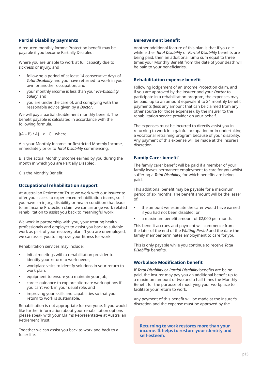### **Partial Disability payments**

A reduced monthly Income Protection benefit may be payable if you become Partially Disabled.

Where you are unable to work at full capacity due to sickness or injury, and

- following a period of at least 14 consecutive days of *Total Disability* and you have returned to work in your own or another occupation, and
- your monthly income is less than your *Pre-Disability Salary*, and
- you are under the care of, and complying with the reasonable advice given by a *Doctor*.

We will pay a partial disablement monthly benefit. The benefit payable is calculated in accordance with the following formula.

 $[(A - B) / A] \times C$  where:

A is your Monthly Income, or Restricted Monthly Income, immediately prior to *Total Disability* commencing.

B is the actual Monthly Income earned by you during the month in which you are Partially Disabled.

C is the Monthly Benefit

### **Occupational rehabilitation support**

At Australian Retirement Trust we work with our insurer to offer you access to experienced rehabilitation teams, so if you have an injury, disability or health condition that leads to an Income Protection claim we can arrange work related rehabilitation to assist you back to meaningful work.

We work in partnership with you, your treating health professionals and employer to assist you back to suitable work as part of your recovery plan. If you are unemployed, we can assist you to improve your fitness for work.

Rehabilitation services may include:

- initial meetings with a rehabilitation provider to identify your return to work needs,
- workplace visits to identify solutions in your return to work plan,
- equipment to ensure you maintain your job,
- career quidance to explore alternate work options if you can't work in your usual role, and
- improving your skills and capabilities so that your return to work is sustainable.

Rehabilitation is not appropriate for everyone. If you would like further information about your rehabilitation options please speak with your Claims Representative at Australian Retirement Trust.

Together we can assist you back to work and back to a fuller life.

#### **Bereavement benefit**

Another additional feature of this plan is that if you die while either *Total Disability* or *Partial Disability* benefits are being paid, then an additional lump sum equal to three times your Monthly Benefit from the date of your death will be paid to your beneficiaries.

#### **Rehabilitation expense benefit**

Following lodgement of an Income Protection claim, and if you are approved by the insurer and your *Doctor* to participate in a rehabilitation program, the expenses may be paid, up to an amount equivalent to 24 monthly benefit payments (less any amount that can be claimed from any other source for those expenses), by the insurer to the rehabilitation service provider on your behalf.

The expenses must be incurred to directly assist you in returning to work in a gainful occupation or in undertaking a vocational retraining program because of your disability. Any payment of this expense will be made at the insurers discretion.

### **Family Carer benefit<sup>1</sup>**

The family carer benefit will be paid if a member of your family leaves permanent employment to care for you whilst suffering a *Total Disability*, for which benefits are being paid.

This additional benefit may be payable for a maximum period of six months. The benefit amount will be the lesser of:

- the amount we estimate the carer would have earned if you had not been disabled; or
- a maximum benefit amount of \$2,000 per month.

This benefit accrues and payment will commence from the later of the end of the *Waiting Period* and the date the family member terminates employment to care for you.

This is only payable while you continue to receive *Total Disability* benefits.

### **Workplace Modification benefit**

If *Total Disability* or *Partial Disability* benefits are being paid, the insurer may pay you an additional benefit up to a maximum amount of two and a half times the Monthly Benefit for the purpose of modifying your workplace to facilitate your return to work.

Any payment of this benefit will be made at the insurer's discretion and the expense must be approved by the

**Returning to work restores more than your income. It helps to restore your identity and self-esteem.**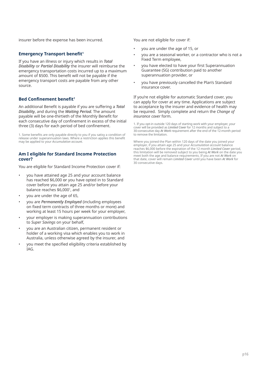insurer before the expense has been incurred.

#### **Emergency Transport benefit<sup>1</sup>**

If you have an illness or injury which results in *Total Disability* or *Partial Disability* the insurer will reimburse the emergency transportation costs incurred up to a maximum amount of \$500. This benefit will not be payable if the emergency transport costs are payable from any other source.

### **Bed Confinement benefit<sup>1</sup>**

An additional Benefit is payable if you are suffering a *Total Disability*, and during the *Waiting Period.* The amount payable will be one-thirtieth of the Monthly Benefit for each consecutive day of confinement in excess of the initial three (3) days for each period of bed confinement.

1. Some benefits are only payable directly to you if you satisy a condition of release under superannuation laws. Where a restriction applies this benefit may be applied to your *Accumulation account*.

#### **Am I eligible for Standard Income Protection cover?**

You are eligible for Standard Income Protection cover if:

- you have attained age 25 and your account balance has reached \$6,000 or you have opted in to Standard cover before you attain age 25 and/or before your balance reaches \$6,0001 , and
- you are under the age of 65,
- you are *Permanently Employed* (including employees on fixed term contracts of three months or more) and working at least 15 hours per week for your employer,
- your employer is making superannuation contributions to *Super Savings* on your behalf,
- you are an Australian citizen, permanent resident or holder of a working visa which enables you to work in Australia, unless otherwise agreed by the insurer, and
- you meet the specified eligibility criteria established by IAG.

You are not eligible for cover if:

- you are under the age of 15, or
- you are a seasonal worker, or a contractor who is not a Fixed Term employee,
- you have elected to have your first Superannuation Guarantee (SG) contribution paid to another superannuation provider, or
- you have previously cancelled the Plan's Standard insurance cover.

If you're not eligible for automatic Standard cover, you can apply for cover at any time. Applications are subject to acceptance by the insurer and evidence of health may be required. Simply complete and return the *Change of insurance cover* form.

1. If you opt-in outside 120 days of starting work with your employer, your cover will be provided as *Limited Cover* for 12 months and subject to a 30-consecutive day *[At Work](DBF_At_Work)* requirement after the end of the 12-month period to remove the limitation.

Where you joined the Plan within 120 days of the date you joined your employer, if you attain age 25 and your *Accumulation account* balance reaches \$6,000 before the expiration of the 12 month *Limited Cover* period, this limitation will be removed subject to you being *At Work* on the date you meet both the age and balance requirements. If you are not *At Work* on that date, cover will remain *Limited Cover* until you have been *At Work* for 30 consecutive days.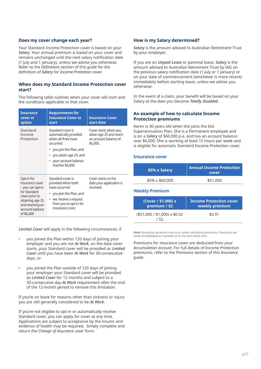#### **Does my cover change each year?**

Your Standard Income Protection cover is based on your *Salary*. Your annual premium is based on your cover and remains unchanged until the next salary notification date (1 July and 1 January), unless we advise you otherwise. Refer to the *Definitions* section of this *guide* for the definition of *Salary* for Income Protection cover.

#### **When does my Standard Income Protection cover start?**

The following table outlines when your cover will start and the conditions applicable to that cover.

| <b>Insurance</b><br>cover or<br>option                                                                                                                      | <b>Requirements for</b><br><b>Insurance Cover to</b><br><b>start</b>                                                                                                              | <b>Insurance Cover</b><br>start date                                                  |
|-------------------------------------------------------------------------------------------------------------------------------------------------------------|-----------------------------------------------------------------------------------------------------------------------------------------------------------------------------------|---------------------------------------------------------------------------------------|
| Standard<br>Income<br>Protection                                                                                                                            | Standard cover is<br>automatically provided<br>when all three have<br>occurred:<br>• you join the Plan, and<br>you attain age 25; and<br>your account balance<br>reaches \$6,000. | Cover starts when you<br>attain age 25 and reach<br>an account balance of<br>\$6,000. |
| Opt-in for<br>insurance cover<br>– you can opt-in<br>for Standard<br>cover prior to<br>attaining age 25<br>and reaching an<br>account balance<br>of \$6,000 | Standard cover is<br>provided when both<br>have occurred:<br>• you join the Plan, and<br>• we receive a request<br>from you to opt-in for<br>insurance cover.                     | Cover starts on the<br>date your application is<br>received.                          |

*Limited Cover* will apply in the following circumstances, if

- you joined the Plan within 120 days of joining your employer and you are not *At Work*, on the date cover starts, your Standard cover will be provided as *Limited Cover* until you have been *At Work* for 30-consecutive days, or
- you joined the Plan outside of 120 days of joining your employer your Standard cover will be provided as *Limited Cover* for 12 months and subject to a 30-consecutive day *At Work* requirement after the end of the 12-month period to remove this limitation.

If you're on leave for reasons other than sickness or injury you are still generally considered to be *At Work*.

If you're not eligible to opt-in or automatically receive Standard cover, you can apply for cover at any time. Applications are subject to acceptance by the insurer and evidence of health may be required. Simply complete and return the *Change of insurance cover* form.

### **How is my Salary determined?**

*Salary* is the amount advised to Australian Retirement Trust by your employer.

If you are on *Unpaid Leave* or parental leave, *Salary* is the amount advised to Australian Retirement Trust by IAG on the previous salary notification date (1 July or 1 January) or on your date of commencement (whichever is more recent) immediately before starting leave, unless we advise you otherwise.

In the event of a claim, your benefit will be based on your Salary at the date you become *Totally Disabled*.

#### **An example of how to calculate Income Protection premiums**

Karen is 30 years old when she joins the IAG Superannuation Plan. She is a Permanent employee and is on a *Salary* of \$60,000 p.a. and has an account balance over \$6,000. She is working at least 15 hours per week and is eligible for automatic Standard Income Protection cover.

#### **Insurance cover**

| 85% x Salary   | <b>Annual Income Protection</b><br>cover |
|----------------|------------------------------------------|
| 85% x \$60,000 | \$51,000                                 |

### **Weekly Premium**

| (Cover / \$1,000) x                      | <b>Income Protection cover</b> |
|------------------------------------------|--------------------------------|
| premium / 52                             | weekly premium                 |
| $($51,000 / $1,000) \times $0.92$<br>152 | \$0.91                         |

**Note**: Rounding variations may occur when calculating premiums. Premiums per week are displayed as rounded up to the next whole cent.

Premiums for insurance cover are deducted from your *Accumulation account*. For full details of Income Protection premiums, refer to the *Premiums* section of this *Insurance guide*.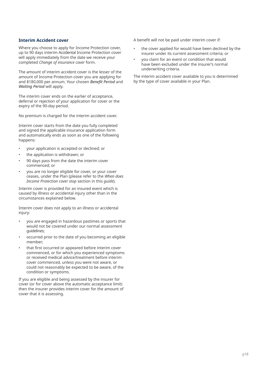#### **Interim Accident cover**

Where you choose to apply for Income Protection cover, up to 90 days interim Accidental Income Protection cover will apply immediately from the date we receive your completed *Change of insurance cover* form.

The amount of interim accident cover is the lesser of the amount of Income Protection cover you are applying for and \$180,000 per annum. Your chosen *Benefit Period* and *Waiting Period* will apply.

The interim cover ends on the earlier of acceptance, deferral or rejection of your application for cover or the expiry of the 90-day period.

No premium is charged for the interim accident cover.

Interim cover starts from the date you fully completed and signed the applicable insurance application form and automatically ends as soon as one of the following happens:

- your application is accepted or declined; or
- the application is withdrawn; or
- 90 days pass from the date the interim cover commenced; or
- you are no longer eligible for cover, or your cover ceases, under the Plan (please refer to the *When does Income Protection cover stop* section in this *guide*).

Interim cover is provided for an insured event which is caused by illness or accidental injury other than in the circumstances explained below.

Interim cover does not apply to an illness or accidental injury:

- you are engaged in hazardous pastimes or sports that would not be covered under our normal assessment guidelines;
- occurred prior to the date of you becoming an eligible member;
- that first occurred or appeared before interim cover commenced, or for which you experienced symptoms or received medical advice/treatment before interim cover commenced, unless you were not aware, or could not reasonably be expected to be aware, of the condition or symptoms.

If you are eligible and being assessed by the insurer for cover (or for cover above the automatic acceptance limit) then the insurer provides interim cover for the amount of cover that it is assessing.

A benefit will not be paid under interim cover if:

- the cover applied for would have been declined by the insurer under its current assessment criteria; or
- you claim for an event or condition that would have been excluded under the insurer's normal underwriting criteria.

The interim accident cover available to you is determined by the type of cover available in your Plan.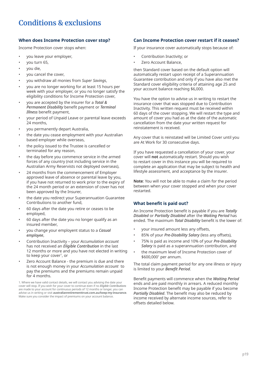# <span id="page-19-0"></span>**Conditions & exclusions**

### **When does Income Protection cover stop?**

Income Protection cover stops when:

- you leave your employer,
- you turn 65,
- you die,
- you cancel the cover,
- you withdraw all monies from *Super Savings*,
- you are no longer working for at least 15 hours per week with your employer, or you no longer satisfy the eligibility conditions for Income Protection cover,
- you are accepted by the insurer for a *Total & Permanent Disability* benefit payment or *Terminal Illness* benefit payment,
- your period of Unpaid Leave or parental leave exceeds 24 months,
- you permanently depart Australia,
- the date you cease employment with your Australian based employer while overseas,
- the policy issued to the Trustee is cancelled or terminated for any reason,
- the day before you commence service in the armed forces of any country (not including service in the Australian Army Reservists not deployed overseas),
- 24 months from the commencement of Employer approved leave of absence or parental leave by you, if you have not returned to work prior to the expiry of the 24 month period or an extension of cover has not been approved by the Insurer,
- the date you redirect your Superannuation Guarantee Contributions to another fund,
- 60 days after the date you retire or ceases to be employed,
- 60 days after the date you no longer qualify as an insured member,
- you change your employent status to a *Casual employee*,
- Contribution Inactivity your *Accumulation account* has not received an *Eligible Contribution* in the last 12 months or more and you have not elected in writing to keep your cover<sup>1</sup>, or
- Zero Account Balance the premium is due and there is not enough money in your *Accumulation account* to pay the premiums and the premiums remain unpaid for 4 months.

1. Where we have valid contact details, we will contact you advising the date your cover will stop. If you wish for your cover to continue even if no *Eligible Contributions* are made to your account for continuous periods of 12 months or longer, you can advise us in writing or visit **[australianretirementtrust.com.au/keep-my-insurance](https://www.australianretirementtrust.com.au/keep-my-insurance?utm_source=document&utm_medium=pdf&utm_campaign=pds_and_guides)**. Make sure you consider the impact of premiums on your account balance.

#### **Can Income Protection cover restart if it ceases?**

If your insurance cover automatically stops because of:

- Contribution Inactivity; or
- Zero Account Balance,

then Standard cover based on the default option will automatically restart upon receipt of a Superannuation Guarantee contribution and only if you have also met the Standard cover eligibility criteria of attaining age 25 and your account balance reaching \$6,000.

You have the option to advise us in writing to restart the insurance cover that was stopped due to Contribution Inactivity. This written request must be received within 60 days of the cover stopping. We will restart the type and amount of cover you had as at the date of the automatic cancellation from the date your written request for reinstatement is received.

Any cover that is reinstated will be Limited Cover until you are At Work for 30 consecutive days.

If you have requested a cancellation of your cover, your cover will **not** automatically restart. Should you wish to restart cover in this instance you will be required to complete an application that may be subject to health and lifestyle assessment, and acceptance by the insurer.

**Note**: You will not be able to make a claim for the period between when your cover stopped and when your cover restarted.

### **What benefit is paid out?**

An Income Protection benefit is payable if you are *Totally Disabled* or *Partially Disabled* after the *Waiting Period* has ended. The maximum *Total Disability* benefit is the lower of:

- your insured amount less any offsets,
- 85% of your *Pre-Disability Salary* (less any offsets),
- 75% is paid as income and 10% of your *Pre-Disability Salary* is paid as a superannuation contribution, and
- the maximum level of Income Protection cover of \$600,0001 per annum.

The total claim payment period for any one illness or injury is limited to your *Benefit Period*.

Benefit payments will commence when the *Waiting Period*  ends and are paid monthly in arrears. A reduced monthly Income Protection benefit may be payable if you become *Partially Disabled*. The benefit may also be reduced by income received by alternate income sources, refer to offsets detailed below.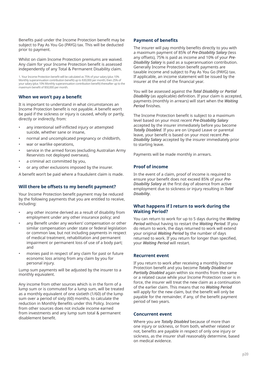Benefits paid under the Income Protection benefit may be subject to Pay As You Go (PAYG) tax. This will be deducted prior to payment.

Whilst on claim Income Protection premiums are waived. Any claim for your Income Protection benefit is assessed independently of any Total & Permanent Disability claim.

1. Your Income Protection benefit will be calculated as 75% of your salary (plus 10% Monthly superannuation contribution benefit) up to \$30,000 per month; then 25% of your salary (plus 10% Monthly superannuation contribution benefit) thereafter up to the maximum benefit of \$50,000 per month.

#### **When we won't pay a benefit**

It is important to understand in what circumstances an Income Protection benefit is not payable. A benefit won't be paid if the sickness or injury is caused, wholly or partly, directly or indirectly, from:

- any intentional self-inflicted injury or attempted suicide, whether sane or insane,
- normal and uncomplicated pregnancy or childbirth,
- war or warlike operations,
- service in the armed forces (excluding Australian Army Reservists not deployed overseas),
- a criminal act committed by you,
- or any other exclusions imposed by the insurer.

A benefit won't be paid where a fraudulent claim is made.

### **Will there be offsets to my benefit payment?**

Your Income Protection benefit payment may be reduced by the following payments that you are entitled to receive, including:

- any other income derived as a result of disability from employment under any other insurance policy; and
- any Benefit under any workers' compensation or other similar compensation under state or federal legislation or common law, but not including payments in respect of medical treatment, rehabilitation and permanent impairment or permanent loss of use of a body part; and
- monies paid in respect of any claim for past or future economic loss arising from any claim by you for personal injury.

Lump sum payments will be adjusted by the insurer to a monthly equivalent.

Any income from other sources which is in the form of a lump sum or is commuted for a lump sum, will be treated as a monthly equivalent of one sixtieth (1/60) of the lump sum over a period of sixty (60) months, to calculate the reduction in Monthly Benefits under this Policy. Income from other sources does not include income earned from investments and any lump sum total & permanent disablement benefit.

#### **Payment of benefits**

The insurer will pay monthly benefits directly to you with a maximum payment of 85% of *Pre-Disability Salary* (less any offsets), 75% is paid as income and 10% of your *Pre-Disability Salary* is paid as a superannuation contribution. Generally Income Protection benefit payments are taxable income and subject to Pay As You Go (PAYG) tax. If applicable, an income statement will be issued by the insurer at the end of the financial year.

You will be assessed against the *Total Disability* or *Partial Disability* (as applicable) definition. If your claim is accepted, payments (monthly in arrears) will start when the *Waiting Period* finishes.

The Income Protection benefit is subject to a maximum level based on your most recent *Pre-Disability Salary*  accepted by the insurer immediately before you become *Totally Disabled*. If you are on Unpaid Leave or parental leave, your benefit is based on your most recent *Pre-Disability Salary* accepted by the insurer immediately prior to starting leave.

Payments will be made monthly in arrears.

#### **Proof of income**

In the event of a claim, proof of income is required to ensure your benefit does not exceed 85% of your *Pre-Disability Salary* at the first day of absence from active employment due to sickness or injury resulting in *Total Disability*.

#### **What happens if I return to work during the Waiting Period?**

You can return to work for up to 5 days during the *Waiting Period* without having to restart the *Waiting Period*. If you do return to work, the days returned to work will extend your original *Waiting Period* by the number of days returned to work. If you return for longer than specified, your *Waiting Period* will restart.

#### **Recurrent event**

If you return to work after receiving a monthly Income Protection benefit and you become *Totally Disabled* or *Partially Disabled* again within six months from the same or a related cause while your Income Protection cover is in force, the insurer will treat the new claim as a continuation of the earlier claim. This means that no *Waiting Period*  will apply for the new claim, but the benefit will only be payable for the remainder, if any, of the benefit payment period of two years.

#### **Concurrent event**

Where you are *Totally Disabled* because of more than one injury or sickness, or from both, whether related or not, benefits are payable in respect of only one injury or sickness, as the insurer shall reasonably determine, based on medical evidence.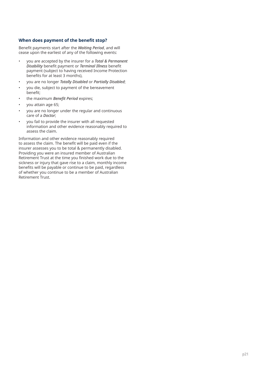#### **When does payment of the benefit stop?**

Benefit payments start after the *Waiting Period*, and will cease upon the earliest of any of the following events:

- you are accepted by the insurer for a *Total & Permanent Disability* benefit payment or *Terminal Illness* benefit payment (subject to having received Income Protection benefits for at least 3 months),
- you are no longer *Totally Disabled* or *Partially Disabled*;
- you die, subject to payment of the bereavement benefit;
- the maximum *Benefit Period* expires;
- you attain age 65;
- you are no longer under the regular and continuous care of a *Doctor*;
- you fail to provide the insurer with all requested information and other evidence reasonably required to assess the claim.

Information and other evidence reasonably required to assess the claim. The benefit will be paid even if the insurer assesses you to be total & permanently disabled. Providing you were an insured member of Australian Retirement Trust at the time you finished work due to the sickness or injury that gave rise to a claim, monthly income benefits will be payable or continue to be paid, regardless of whether you continue to be a member of Australian Retirement Trust.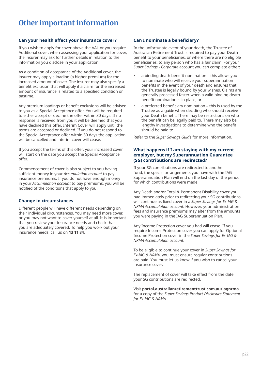# <span id="page-22-0"></span>**Other important information**

#### **Can your health affect your insurance cover?**

If you wish to apply for cover above the AAL or you require Additional cover, when assessing your application for cover, the insurer may ask for further details in relation to the information you disclose in your application.

As a condition of acceptance of the Additional cover, the insurer may apply a loading (a higher premium) for the increased amount of cover. The insurer may also specify a benefit exclusion that will apply if a claim for the increased amount of insurance is related to a specified condition or pastime.

Any premium loadings or benefit exclusions will be advised to you as a Special Acceptance offer. You will be required to either accept or decline the offer within 30 days. If no response is received from you it will be deemed that you have declined this offer. Interim Cover will apply until the terms are accepted or declined. If you do not respond to the Special Acceptance offer within 30 days the application will be cancelled and interim cover will cease.

If you accept the terms of this offer, your increased cover will start on the date you accept the Special Acceptance offer.

Commencement of cover is also subject to you having sufficient money in your *Accumulation account* to pay insurance premiums. If you do not have enough money in your *Accumulation account* to pay premiums, you will be notified of the conditions that apply to you.

### **Change in circumstances**

Different people will have different needs depending on their individual circumstances. You may need more cover, or you may not want to cover yourself at all. It is important that you review your insurance needs and check that you are adequately covered. To help you work out your insurance needs, call us on **13 11 84**.

### **Can I nominate a beneficiary?**

In the unfortunate event of your death, the Trustee of Australian Retirement Trust is required to pay your Death benefit to your beneficiaries, or where there are no eligible beneficiaries, to any person who has a fair claim. For your *Super Savings - Corporate* account you can complete either:

- a binding death benefit nomination this allows you to nominate who will receive your superannuation benefits in the event of your death and ensures that the Trustee is legally bound by your wishes. Claims are generally processed faster when a valid binding death benefit nomination is in place, or
- a preferred beneficiary nomination this is used by the Trustee as a guide when deciding who should receive your Death benefit. There may be restrictions on who the benefit can be legally paid to. There may also be lengthy investigations to determine who the benefit should be paid to.

Refer to the *Super Savings Guide* for more information.

#### **What happens if I am staying with my current employer, but my Superannuation Guarantee (SG) contributions are redirected?**

If your SG contributions are redirected to another fund, the special arrangements you have with the IAG Superannuation Plan will end on the last day of the period for which contributions were made.

Any Death and/or Total & Permanent Disability cover you had immediately prior to redirecting your SG contributions will continue as fixed cover in a *Super Savings for Ex-IAG & NRMA Accumulation account*. However, your administration fees and insurance premiums may alter from the amounts you were paying in the IAG Superannuation Plan.

Any Income Protection cover you had will cease. If you require Income Protection cover you can apply for Optional Income Protection cover in the *Super Savings for Ex-IAG & NRMA Accumulation account*.

To be eligible to continue your cover in *Super Savings for Ex-IAG & NRMA*, you must ensure regular contributions are paid. You must let us know if you wish to cancel your insurance cover.

The replacement of cover will take effect from the date your SG contributions are redirected.

Visit **[portal.australianretirementtrust.com.au/iagnrma](https://portal.australianretirementtrust.com.au/iagnrma?utm_source=document&utm_medium=pdf&utm_campaign=pds_and_guides)** for a copy of the *Super Savings Product Disclosure Statement for Ex-IAG & NRMA*.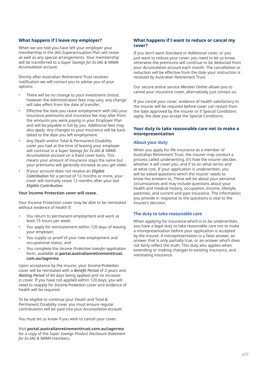### **What happens if I leave my employer?**

When we are told you have left your employer your membership in the IAG Superannuation Plan will cease as well as any special arrangements. Your membership will be transferred to a *Super Savings for Ex-IAG & NRMA Accumulation account*.

Shortly after Australian Retirement Trust receives notification we will contact you to advise you of your options:

- There will be no change to your investment choice, however the Administration fees may vary, any change will take effect from the date of transfer.
- Effective the date you cease employment with IAG your insurance premiums and insurance fee may alter from the amounts you were paying in your Employer Plan and will be payable in full by you. Additional fees may also apply. Any changes to your insurance will be back dated to the date you left employment.
- Any Death and/or Total & Permanent Disability cover you had at the time of leaving your employer will continue in a *Super Savings for Ex-IAG & NRMA Accumulation account* on a fixed cover basis. This means your amount of insurance stays the same but your premiums will generally increase as you get older.
- If your account does not receive an *Eligible Contribution* for a period of 12 months or more, your cover will normally cease 12 months after your last *Eligible Contribution*.

#### **Your Income Protection cover will cease.**

Your Income Protection cover may be able to be reinstated without evidence of health if:

- You return to permanent employment and work at least 15 hours per week,
- You apply for reinstatement within 120 days of leaving your employer,
- You supply us proof of your new employment and occupational status, and
- You complete the *Income Protection transfer application* form, available at **portal.[australianretirementtrust.](https://portal.australianretirementtrust.com.au/iagnrma?utm_source=document&utm_medium=pdf&utm_campaign=pds_and_guides) [com.au/iagnrma](https://portal.australianretirementtrust.com.au/iagnrma?utm_source=document&utm_medium=pdf&utm_campaign=pds_and_guides)**

Upon acceptance by the insurer, your Income Protection cover will be reinstated with a *Benefit Period* of 2-years and *Waiting Period* of 84 days being applied and no increase in cover. If you have not applied within 120 days, you will need to reapply for Income Protection cover and evidence of health will be required.

To be eligible to continue your Death and Total & Permanent Disability cover you must ensure regular contributions will be paid into your *Accumulation account*.

You must let us know if you wish to cancel your cover.

Visit **[portal.australianretirementtrust.com.au/iagnrma](https://portal.australianretirementtrust.com.au/iagnrma?utm_source=document&utm_medium=pdf&utm_campaign=pds_and_guides)** for a copy of the *Super Savings Product Disclosure Statement for Ex-IAG & NRMA* members.

### **What happens if I want to reduce or cancel my cover?**

If you don't want Standard or Additional cover, or you just want to reduce your cover, you need to let us know, otherwise the premiums will continue to be deducted from your *Accumulation account* each month. The cancellation or reduction will be effective from the date your instruction is received by Australian Retirement Trust.

Our secure online service *Member Online* allows you to cancel your insurance cover, alternatively just contact us.

If you cancel your cover, evidence of health satisfactory to the insurer will be required before cover can restart from the date approved by the insurer or if Special Conditions apply, the date you accept the Special Conditions.

#### **Your duty to take reasonable care not to make a misrepresentation**

#### **About your duty**

When you apply for life insurance as a member of Australian Retirement Trust, the insurer may conduct a process called underwriting. It's how the insurer decides whether it will cover you, and if so on what terms and at what cost. If your application is underwritten, you will be asked questions which the insurer needs to know the answers to. These will be about your personal circumstances and may include questions about your health and medical history, occupation, income, lifestyle, pastimes, and current and past insurance. The information you provide in response to the questions is vital to the insurer's decision.

#### **The duty to take reasonable care**

When applying for insurance which is to be underwritten, you have a legal duty to take reasonable care not to make a misrepresentation before your application is accepted by the insurer. A misrepresentation is a false answer, an answer that is only partially true, or an answer which does not fairly reflect the truth. This duty also applies when extending or making changes to existing insurance, and reinstating insurance.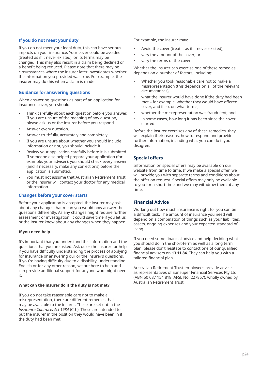### **If you do not meet your duty**

If you do not meet your legal duty, this can have serious impacts on your insurance. Your cover could be avoided (treated as if it never existed), or its terms may be changed. This may also result in a claim being declined or a benefit being reduced. Please note that there may be circumstances where the insurer later investigates whether the information you provided was true. For example, the insurer may do this when a claim is made.

#### **Guidance for answering questions**

When answering questions as part of an application for insurance cover, you should:

- Think carefully about each question before you answer. If you are unsure of the meaning of any question, please ask us or the insurer before you respond.
- Answer every question.
- Answer truthfully, accurately and completely.
- If you are unsure about whether you should include information or not, you should include it.
- Review your application carefully before it is submitted. If someone else helped prepare your application (for example, your adviser), you should check every answer (and if necessary, make any corrections) before the application is submitted.
- You must not assume that Australian Retirement Trust or the insurer will contact your doctor for any medical information.

#### **Changes before your cover starts**

Before your application is accepted, the insurer may ask about any changes that mean you would now answer the questions differently. As any changes might require further assessment or investigation, it could save time if you let us or the insurer know about any changes when they happen.

#### **If you need help**

It's important that you understand this information and the questions that you are asked. Ask us or the insurer for help if you have difficulty understanding the process of applying for insurance or answering our or the insurer's questions. If you're having difficulty due to a disability, understanding English or for any other reason, we are here to help and can provide additional support for anyone who might need it.

#### **What can the insurer do if the duty is not met?**

If you do not take reasonable care not to make a misrepresentation, there are different remedies that may be available to the insurer. These are set out in the *Insurance Contracts Act 1984* (Cth). These are intended to put the insurer in the position they would have been in if the duty had been met.

For example, the insurer may:

- Avoid the cover (treat it as if it never existed);
- vary the amount of the cover; or
- vary the terms of the cover.

Whether the insurer can exercise one of these remedies depends on a number of factors, including:

- Whether you took reasonable care not to make a misrepresentation (this depends on all of the relevant circumstances);
- what the insurer would have done if the duty had been met – for example, whether they would have offered cover, and if so, on what terms;
- whether the misrepresentation was fraudulent; and
- in some cases, how long it has been since the cover started.

Before the insurer exercises any of these remedies, they will explain their reasons, how to respond and provide further information, including what you can do if you disagree.

### **Special offers**

Information on special offers may be available on our website from time to time. If we make a special offer, we will provide you with separate terms and conditions about the offer on request. Special offers may only be available to you for a short time and we may withdraw them at any time.

### **Financial Advice**

Working out how much insurance is right for you can be a difficult task. The amount of insurance you need will depend on a combination of things such as your liabilities, assets, ongoing expenses and your expected standard of living.

If you need some financial advice and help deciding what you should do in the short-term as well as a long term plan, please don't hesitate to contact one of our qualified financial advisers on **13 11 84**. They can help you with a tailored financial plan.

Australian Retirement Trust employees provide advice as representatives of Sunsuper Financial Services Pty Ltd (ABN 50 087 154 818, AFSL No. 227867), wholly owned by Australian Retirement Trust.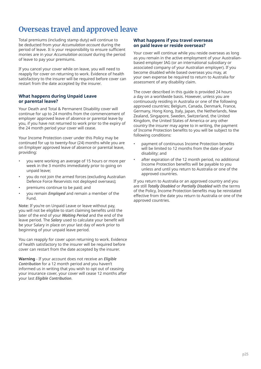# <span id="page-25-0"></span>**Overseas travel and approved leave**

Total premiums (including stamp duty) will continue to be deducted from your *Accumulation account* during the period of leave. It is your responsibility to ensure sufficient monies are in your *Accumulation account* during the period of leave to pay your premiums.

If you cancel your cover while on leave, you will need to reapply for cover on returning to work. Evidence of health satisfactory to the insurer will be required before cover can restart from the date accepted by the insurer.

#### **What happens during Unpaid Leave or parental leave?**

Your Death and Total & Permanent Disability cover will continue for up to 24 months from the commencement of employer approved leave of absence or parental leave by you, if you have not returned to work prior to the expiry of the 24 month period your cover will cease.

Your Income Protection cover under this Policy may be continued for up to twenty-four (24) months while you are on Employer approved leave of absence or parental leave, providing:

- you were working an average of 15 hours or more per week in the 3 months immediately prior to going on unpaid leave;
- you do not join the armed forces (excluding Australian Defence Force Reservists not deployed overseas);
- premiums continue to be paid; and
- you remain *Employed* and remain a member of the Fund.

Note: If you're on Unpaid Leave or leave without pay, you will not be eligible to start claiming benefits until the later of the end of your *Waiting Period* and the end of the leave period. The *Salary* used to calculate your benefit will be your Salary in place on your last day of work prior to beginning of your unpaid leave period.

You can reapply for cover upon returning to work. Evidence of health satisfactory to the insurer will be required before cover can restart from the date accepted by the insurer.

**Warning** - If your account does not receive an *Eligible Contribution* for a 12 month period and you haven't informed us in writing that you wish to opt out of ceasing your insurance cover, your cover will cease 12 months after your last *Eligible Contribution*.

### **What happens if you travel overseas on paid leave or reside overseas?**

Your cover will continue while you reside overseas as long as you remain in the active employment of your Australianbased employer IAG (or an international subsidiary or associated company of your Australian employer). If you become disabled while based overseas you may, at your own expense be required to return to Australia for assessment of any disability claim.

The cover described in this guide is provided 24 hours a day on a worldwide basis. However, unless you are continuously residing in Australia or one of the following approved countries; Belgium, Canada, Denmark, France, Germany, Hong Kong, Italy, Japan, the Netherlands, New Zealand, Singapore, Sweden, Switzerland, the United Kingdom, the United States of America or any other country the insurer may agree to in writing, the payment of Income Protection benefits to you will be subject to the following conditions:

- payment of continuous Income Protection benefits will be limited to 12 months from the date of your disability; and
- after expiration of the 12 month period, no additional Income Protection benefits will be payable to you unless and until you return to Australia or one of the approved countries.

If you return to Australia or an approved country and you are still *Totally Disabled* or *Partially Disabled* with the terms of the Policy, Income Protection benefits may be reinstated effective from the date you return to Australia or one of the approved countries.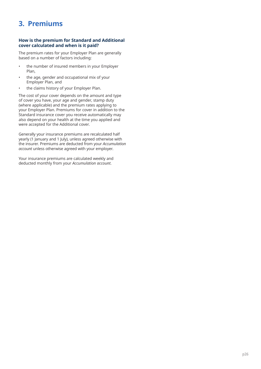# <span id="page-26-0"></span>**3. Premiums**

### **How is the premium for Standard and Additional cover calculated and when is it paid?**

The premium rates for your Employer Plan are generally based on a number of factors including:

- the number of insured members in your Employer Plan,
- the age, gender and occupational mix of your Employer Plan, and
- the claims history of your Employer Plan.

The cost of your cover depends on the amount and type of cover you have, your age and gender, stamp duty (where applicable) and the premium rates applying to your Employer Plan. Premiums for cover in addition to the Standard insurance cover you receive automatically may also depend on your health at the time you applied and were accepted for the Additional cover.

Generally your insurance premiums are recalculated half yearly (1 January and 1 July), unless agreed otherwise with the insurer. Premiums are deducted from your *Accumulation account* unless otherwise agreed with your employer.

Your insurance premiums are calculated weekly and deducted monthly from your *Accumulation account*.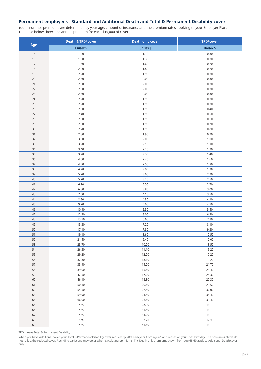# **Permanent employees - Standard and Additional Death and Total & Permanent Disability cover**

Your insurance premiums are determined by your age, amount of insurance and the premium rates applying to your Employer Plan. The table below shows the annual premium for each \$10,000 of cover.

|              | <b>Death &amp; TPD<sup>1</sup> cover</b> | <b>Death only cover</b> | TPD <sup>1</sup> cover |
|--------------|------------------------------------------|-------------------------|------------------------|
| Age          | <b>Unisex \$</b>                         | <b>Unisex \$</b>        | <b>Unisex \$</b>       |
| 15           | 1.40                                     | 1.10                    | 0.30                   |
| 16           | 1.60                                     | 1.30                    | 0.30                   |
| $17\,$       | 1.80                                     | 1.60                    | 0.20                   |
| $18$         | 2.00                                     | 1.80                    | 0.20                   |
| 19           | 2.20                                     | 1.90                    | 0.30                   |
| $20\,$       | 2.30                                     | 2.00                    | 0.30                   |
| 21           | 2.30                                     | 2.00                    | 0.30                   |
| 22           | 2.30                                     | 2.00                    | 0.30                   |
| 23           | 2.30                                     | 2.00                    | 0.30                   |
| 24           | 2.20                                     | 1.90                    | 0.30                   |
| $25\,$       | 2.20                                     | 1.90                    | 0.30                   |
| $26\,$       | 2.30                                     | 1.90                    | 0.40                   |
| 27           | 2.40                                     | 1.90                    | 0.50                   |
| 28           | 2.50                                     | 1.90                    | 0.60                   |
| 29           | 2.60                                     | 1.90                    | 0.70                   |
| $30\,$       | 2.70                                     | 1.90                    | 0.80                   |
| 31           | 2.80                                     | 1.90                    | 0.90                   |
| 32           | 3.00                                     | 2.00                    | 1.00                   |
| 33           | 3.20                                     | 2.10                    | 1.10                   |
| 34           | 3.40                                     | 2.20                    | 1.20                   |
| 35           | 3.70                                     | 2.30                    | 1.40                   |
| $36$         | 4.00                                     | 2.40                    | 1.60                   |
| $37\,$       | 4.30                                     | 2.50                    | 1.80                   |
| 38           | 4.70                                     | 2.80                    | 1.90                   |
| 39           | 5.20                                     | 3.00                    | 2.20                   |
| $40\,$       | 5.70                                     | 3.20                    | 2.50                   |
| $41$         | 6.20                                     | 3.50                    | 2.70                   |
| 42           | 6.80                                     | 3.80                    | 3.00                   |
| 43           | 7.60                                     | 4.10                    | 3.50                   |
| 44           | 8.60                                     | 4.50                    | 4.10                   |
| $45\,$       | 9.70                                     | 5.00                    | 4.70                   |
| $46\,$       | 10.90                                    | 5.50                    | 5.40                   |
| 47<br>48     | 12.30                                    | 6.00                    | 6.30                   |
|              | 13.70                                    | 6.60                    | 7.10                   |
| 49<br>$50\,$ | 15.30<br>17.10                           | 7.20<br>7.80            | 8.10<br>9.30           |
| 51           | 19.10                                    | 8.60                    | 10.50                  |
| 52           | 21.40                                    | 9.40                    | 12.00                  |
| 53           | 23.70                                    | 10.20                   | 13.50                  |
| 54           | 26.30                                    | 11.10                   | 15.20                  |
| 55           | 29.20                                    | 12.00                   | 17.20                  |
| 56           | 32.30                                    | 13.10                   | 19.20                  |
| 57           | 35.90                                    | 14.20                   | 21.70                  |
| 58           | 39.00                                    | 15.60                   | 23.40                  |
| 59           | 42.50                                    | 17.20                   | 25.30                  |
| 60           | 46.10                                    | 18.80                   | 27.30                  |
| 61           | 50.10                                    | 20.60                   | 29.50                  |
| 62           | 54.50                                    | 22.50                   | 32.00                  |
| 63           | 59.90                                    | 24.50                   | 35.40                  |
| 64           | 66.00                                    | 26.60                   | 39.40                  |
| 65           | $\mathsf{N}/\mathsf{A}$                  | 28.90                   | N/A                    |
| 66           | N/A                                      | 31.50                   | N/A                    |
| 67           | N/A                                      | 34.20                   | N/A                    |
| 68           | N/A                                      | 37.70                   | N/A                    |
| 69           | $\mathsf{N}/\mathsf{A}$                  | 41.60                   | N/A                    |

TPD means Total & Permanent Disability

When you have Additional cover, your Total & Permanent Disability cover reduces by 20% each year from age 61 and ceases on your 65th birthday. The premiums above do<br>not reflect the reduced cover. Rounding variations may oc only.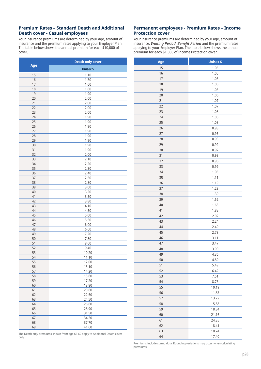#### **Premium Rates – Standard Death and Additional Death cover - Casual employees**

Your insurance premiums are determined by your age, amount of insurance and the premium rates applying to your Employer Plan. The table below shows the annual premium for each \$10,000 of cover.

| Age | <b>Death only cover</b> |
|-----|-------------------------|
|     | <b>Unisex \$</b>        |
| 15  | 1.10                    |
| 16  | 1.30                    |
| 17  | 1.60                    |
| 18  | 1.80                    |
| 19  | 1.90                    |
| 20  | 2.00                    |
| 21  | 2.00                    |
| 22  | 2.00                    |
| 23  | 2.00                    |
| 24  | 1.90                    |
| 25  | 1.90                    |
| 26  | 1.90                    |
| 27  | 1.90                    |
| 28  | 1.90                    |
| 29  | 1.90                    |
| 30  | 1.90                    |
| 31  | 1.90                    |
| 32  | 2.00                    |
| 33  | 2.10                    |
| 34  | 2.20                    |
| 35  | 2.30                    |
| 36  | 2.40                    |
| 37  | 2.50                    |
| 38  | 2.80                    |
| 39  | 3.00                    |
| 40  | 3.20                    |
| 41  | 3.50                    |
| 42  | 3.80                    |
| 43  | 4.10                    |
| 44  | 4.50                    |
| 45  | 5.00                    |
| 46  | 5.50                    |
| 47  | 6.00                    |
| 48  | 6.60                    |
| 49  | 7.20                    |
| 50  | 7.80                    |
| 51  | 8.60                    |
| 52  | 9.40                    |
| 53  | 10.20                   |
| 54  | 11.10                   |
| 55  | 12.00                   |
| 56  | 13.10                   |
| 57  | 14.20                   |
| 58  | 15.60                   |
| 59  | 17.20                   |
| 60  | 18.80                   |
| 61  | 20.60                   |
| 62  | 22.50                   |
| 63  | 24.50                   |
| 64  | 26.60                   |
| 65  | 28.90                   |
| 66  | 31.50                   |
| 67  | 34.20                   |
| 68  | 37.70                   |
| 69  | 41.60                   |
|     |                         |

#### **Permanent employees - Premium Rates – Income Protection cover**

Your insurance premiums are determined by your age, amount of insurance, *Waiting Period*, *Benefit Period* and the premium rates applying to your Employer Plan. The table below shows the annual premium for each \$1,000 of Income Protection cover.

| Age | <b>Unisex \$</b> |
|-----|------------------|
| 15  | 1.05             |
| 16  | 1.05             |
| 17  | 1.05             |
| 18  | 1.05             |
| 19  | 1.05             |
| 20  | 1.06             |
| 21  | 1.07             |
| 22  | 1.07             |
| 23  | 1.08             |
| 24  | 1.08             |
| 25  | 1.03             |
| 26  | 0.98             |
| 27  | 0.95             |
| 28  | 0.93             |
| 29  | 0.92             |
| 30  | 0.92             |
| 31  | 0.93             |
| 32  | 0.96             |
| 33  | 0.99             |
| 34  | 1.05             |
| 35  | 1.11             |
| 36  | 1.19             |
| 37  | 1.28             |
| 38  | 1.39             |
| 39  | 1.52             |
| 40  | 1.65             |
| 41  | 1.83             |
| 42  | 2.02             |
| 43  | 2.24             |
| 44  | 2.49             |
| 45  | 2.78             |
| 46  | 3.11             |
| 47  | 3.47             |
| 48  | 3.90             |
| 49  | 4.36             |
| 50  | 4.89             |
| 51  | 5.49             |
| 52  | 6.42             |
| 53  | 7.51             |
| 54  | 8.76             |
| 55  | 10.19            |
| 56  | 11.83            |
| 57  | 13.72            |
| 58  | 15.88            |
| 59  | 18.34            |
| 60  | 21.16            |
| 61  | 24.35            |
| 62  | 18.41            |
| 63  | 10.24            |
| 64  | 17.40            |

The Death only premiums shown from age 65-69 apply to Additional Death cover only.

> Premiums include stamp duty. Rounding variations may occur when calculating premiums.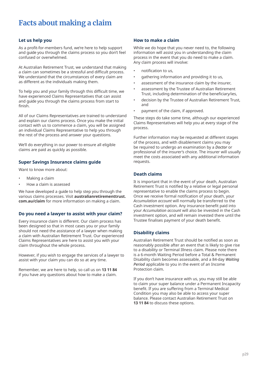# <span id="page-29-0"></span>**Facts about making a claim**

### **Let us help you**

As a profit-for-members fund, we're here to help support and guide you through the claims process so you don't feel confused or overwhelmed.

At Australian Retirement Trust, we understand that making a claim can sometimes be a stressful and difficult process. We understand that the circumstances of every claim are as different as the individuals making them.

To help you and your family through this difficult time, we have experienced Claims Representatives that can assist and guide you through the claims process from start to finish.

All of our Claims Representatives are trained to understand and explain our claims process. Once you make the initial contact with us to commence a claim, you will be assigned an individual Claims Representative to help you through the rest of the process and answer your questions.

We'll do everything in our power to ensure all eligible claims are paid as quickly as possible.

# **Super Savings Insurance claims guide**

Want to know more about:

- Making a claim
- How a claim is assessed

We have developed a guide to help step you through the various claims processes. Visit **[australianretirementtrust.](http://australianretirementtrust.com.au/claim?utm_source=document&utm_medium=pdf&utm_campaign=pds_and_guides) [com.au/claim](http://australianretirementtrust.com.au/claim?utm_source=document&utm_medium=pdf&utm_campaign=pds_and_guides)** for more information on making a claim.

# **Do you need a lawyer to assist with your claim?**

Every insurance claim is different. Our claim process has been designed so that in most cases you or your family should not need the assistance of a lawyer when making a claim with Australian Retirement Trust. Our experienced Claims Representatives are here to assist you with your claim throughout the whole process.

However, if you wish to engage the services of a lawyer to assist with your claim you can do so at any time.

Remember, we are here to help, so call us on **13 11 84** if you have any questions about how to make a claim.

#### **How to make a claim**

While we do hope that you never need to, the following information will assist you in understanding the claim process in the event that you do need to make a claim. Any claim process will involve:

- notification to us,
- gathering information and providing it to us,
- assessment of the insurance claim by the insurer,
- assessment by the Trustee of Australian Retirement Trust, including determination of the beneficiary/ies,
- decision by the Trustee of Australian Retirement Trust, and
- payment of the claim, if approved.

These steps do take some time, although our experienced Claims Representatives will help you at every stage of the process.

Further information may be requested at different stages of the process, and with disablement claims you may be required to undergo an examination by a *Doctor* or professional of the insurer's choice. The insurer will usually meet the costs associated with any additional information requests.

# **Death claims**

It is important that in the event of your death, Australian Retirement Trust is notified by a relative or legal personal representative to enable the claims process to begin. Once we receive formal notification of your death, your *Accumulation account* will normally be transferred to the Cash investment option. Any insurance benefit paid into your *Accumulation account* will also be invested in the Cash investment option, and will remain invested there until the Trustee finalises payment of your death benefit.

# **Disability claims**

Australian Retirement Trust should be notified as soon as reasonably possible after an event that is likely to give rise to a disability or Terminal Illness claim. Please note there is a 6-month Waiting Period before a Total & Permanent Disability claim becomes assessable, and a 84-day *Waiting Period* applicable to you in the event of an Income Protection claim.

If you don't have insurance with us, you may still be able to claim your super balance under a Permanent Incapacity benefit. If you are suffering from a Terminal Medical Condition you may also be able to access your super balance. Please contact Australian Retirement Trust on **13 11 84** to discuss these options.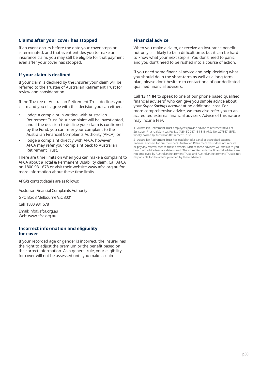#### **Claims after your cover has stopped**

If an event occurs before the date your cover stops or is terminated, and that event entitles you to make an insurance claim, you may still be eligible for that payment even after your cover has stopped.

### **If your claim is declined**

If your claim is declined by the Insurer your claim will be referred to the Trustee of Australian Retirement Trust for review and consideration.

If the Trustee of Australian Retirement Trust declines your claim and you disagree with this decision you can either:

- lodge a complaint in writing, with Australian Retirement Trust. Your complaint will be investigated, and if the decision to decline your claim is confirmed by the Fund, you can refer your complaint to the Australian Financial Complaints Authority (AFCA), or
- lodge a complaint directly with AFCA, however AFCA may refer your complaint back to Australian Retirement Trust.

There are time limits on when you can make a complaint to AFCA about a Total & Permanent Disability claim. Call AFCA on 1800 931 678 or visit their website www.afca.org.au for more information about these time limits.

AFCA's contact details are as follows:

Australian Financial Complaints Authority

GPO Box 3 Melbourne VIC 3001

Call: 1800 931 678

Email: info@afca.org.au Web: www.afca.org.au

### **Incorrect information and eligibility for cover**

If your recorded age or gender is incorrect, the insurer has the right to adjust the premium or the benefit based on the correct information. As a general rule, your eligibility for cover will not be assessed until you make a claim.

#### **Financial advice**

When you make a claim, or receive an insurance benefit, not only is it likely to be a difficult time, but it can be hard to know what your next step is. You don't need to panic and you don't need to be rushed into a course of action.

If you need some financial advice and help deciding what you should do in the short-term as well as a long term plan, please don't hesitate to contact one of our dedicated qualified financial advisers.

Call **13 11 84** to speak to one of our phone based qualified  $f$ inancial advisers $^1$  who can give you simple advice about your *Super Savings account* at no additional cost. For more comprehensive advice, we may also refer you to an accredited external financial adviser<sup>2</sup>. Advice of this nature may incur a fee<sup>2</sup>.

1 Australian Retirement Trust employees provide advice as representatives of Sunsuper Financial Services Pty Ltd (ABN 50 087 154 818 AFSL No. 227867) (SFS), wholly owned by Australian Retirement Trust.

2 Australian Retirement Trust has established a panel of accredited external financial advisers for our members. Australian Retirement Trust does not receive or pay any referral fees to these advisers. Each of these advisers will explain to you how their advice fees are determined. The accredited external financial advisers are not employed by Australian Retirement Trust, and Australian Retirement Trust is not responsible for the advice provided by these advisers.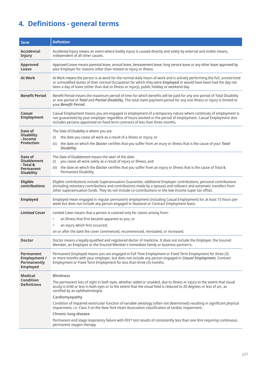# <span id="page-31-0"></span>**4. Definitions - general terms**

| <b>Term</b>                                                        | <b>Definition</b>                                                                                                                                                                                                                                                                                                                               |
|--------------------------------------------------------------------|-------------------------------------------------------------------------------------------------------------------------------------------------------------------------------------------------------------------------------------------------------------------------------------------------------------------------------------------------|
| <b>Accidental</b><br>Injury                                        | Accidental Injury means an event where bodily injury is caused directly and solely by external and visible means,<br>independent of all other causes.                                                                                                                                                                                           |
| <b>Approved</b><br>Leave                                           | Approved Leave means parental leave, annual leave, bereavement leave, long service leave or any other leave approved by<br>your Employer for reasons other than related to injury or illness.                                                                                                                                                   |
| <b>At Work</b>                                                     | At Work means the person is at work for the normal daily hours of work and is actively performing the full, unrestricted<br>or unmodified duties of their normal Occupation for which they were Employed or would have been had the day not<br>been a day of leave (other than due to Illness or injury), public holiday or weekend day.        |
| <b>Benefit Period</b>                                              | Benefit Period means the maximum period of time for which benefits will be paid for any one period of Total Disability<br>or one period of Total and Partial Disability. The total claim payment period for any one illness or injury is limited to<br>your Benefit Period.                                                                     |
| Casual<br><b>Employment</b>                                        | Casual Employment means you are engaged in employment of a temporary nature where continuity of employment is<br>not guaranteed by your employer regardless of hours worked or the period of employment. Casual Employment also<br>includes persons appointed on fixed term contracts of less than three months.                                |
| Date of                                                            | The Date of Disability is where you are:                                                                                                                                                                                                                                                                                                        |
| <b>Disability</b><br>- Income                                      | the date you cease all work as a result of a illness or injury, or<br>(i)                                                                                                                                                                                                                                                                       |
| <b>Protection</b>                                                  | the date on which the Doctor certifies that you suffer from an inury or illness that is the cause of your Total<br>(ii)<br>Disability.                                                                                                                                                                                                          |
| Date of                                                            | The Date of Disablement means the later of the date:                                                                                                                                                                                                                                                                                            |
| <b>Disablement</b><br>- Total &                                    | you cease all work solely as a result of injury or Illness; and<br>(i)<br>the date on which the <i>Doctor</i> certifies that you suffer from an injury or Illness that is the cause of Total &<br>(ii)                                                                                                                                          |
| Permanent<br><b>Disability</b>                                     | Permanent Disability.                                                                                                                                                                                                                                                                                                                           |
| Eligible<br>contributions                                          | Eligible contributions include Superannuation Guarantee, additional Employer contributions, personal contributions<br>(including voluntary contributions and contributions made by a spouse) and rollovers and automatic transfers from<br>other superannuation funds. They do not include co-contributions or the low income super tax offset. |
| <b>Employed</b>                                                    | Employed mean engaged in regular permanent employment (including Casual Employment) for at least 15 hours per<br>week but does not include any person engaged in Seasonal or Contract Employment basis.                                                                                                                                         |
| <b>Limited Cover</b>                                               | Limited Cover means that a person is covered only for claims arising from:                                                                                                                                                                                                                                                                      |
|                                                                    | an Illness that first became apparent to you; or<br>$\bullet$                                                                                                                                                                                                                                                                                   |
|                                                                    | an injury which first occurred;                                                                                                                                                                                                                                                                                                                 |
|                                                                    | on or after the date the cover commenced, recommenced, reinstated, or increased.                                                                                                                                                                                                                                                                |
| <b>Doctor</b>                                                      | Doctor means a legally qualified and registered doctor of medicine. It does not include the Employer, the Insured<br>Member, an Employee or the Insured Member's immediate family or business partner/s.                                                                                                                                        |
| Permanent<br>Employment /<br><b>Permanently</b><br><b>Employed</b> | Permanent Employed means you are engaged in Full Time Employment or Fixed Term Employment for three (3)<br>or more months with your employer, but does not include any person engaged in Casual Employment, Contract<br>Employment or Fixed Term Employment for less than three (3) months.                                                     |
| <b>Medical</b>                                                     | <b>Blindness</b>                                                                                                                                                                                                                                                                                                                                |
| Condition<br><b>Definitions</b>                                    | The permanent loss of sight in both eyes, whether aided or unaided, due to illness or injury to the extent that visual<br>acuity is 6/60 or less in both eyes or to the extent that the visual field is reduced to 20 degrees or less of arc, as<br>certified by an ophthalmologist.                                                            |
|                                                                    | Cardiomyopathy                                                                                                                                                                                                                                                                                                                                  |
|                                                                    | Condition of impaired ventricular function of variable aetiology (often not determined) resulting in significant physical<br>impairment, i.e. Class 3 on the New York Heart Association classification of cardiac impairment.                                                                                                                   |
|                                                                    | Chronic lung disease                                                                                                                                                                                                                                                                                                                            |
|                                                                    | Permanent end stage respiratory failure with FEV1 test results of consistently less than one litre requiring continuous<br>permanent oxygen therapy.                                                                                                                                                                                            |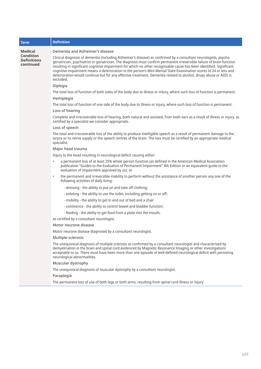| Term                                         | <b>Definition</b>                                                                                                                                                                                                                                                                                                                                                                                                                                                                                                                                                                                                           |
|----------------------------------------------|-----------------------------------------------------------------------------------------------------------------------------------------------------------------------------------------------------------------------------------------------------------------------------------------------------------------------------------------------------------------------------------------------------------------------------------------------------------------------------------------------------------------------------------------------------------------------------------------------------------------------------|
| Medical                                      | Dementia and Alzheimer's disease                                                                                                                                                                                                                                                                                                                                                                                                                                                                                                                                                                                            |
| Condition<br><b>Definitions</b><br>continued | Clinical diagnosis of dementia (including Alzheimer's disease) as confirmed by a consultant neurologists, psycho-<br>geriatrician, psychiatrist or geriatrician. The diagnosis must confirm permanent irreversible failure of brain function<br>resulting in significant cognitive impairment for which no other recognisable cause has been identified. Significant<br>cognitive impairment means a deterioration in the person's Mini-Mental State Examination scores to 24 or less and<br>deterioration would continue but for any effective treatment. Dementia related to alcohol, drugs abuse or AIDS is<br>excluded. |
|                                              | Diplegia                                                                                                                                                                                                                                                                                                                                                                                                                                                                                                                                                                                                                    |
|                                              | The total loss of function of both sides of the body due to illness or inIury, where such loss of function is permanent.                                                                                                                                                                                                                                                                                                                                                                                                                                                                                                    |
|                                              | Hemiplegia                                                                                                                                                                                                                                                                                                                                                                                                                                                                                                                                                                                                                  |
|                                              | The total loss of function of one side of the body due to illness or injury, where such loss of function is permanent.                                                                                                                                                                                                                                                                                                                                                                                                                                                                                                      |
|                                              | Loss of hearing                                                                                                                                                                                                                                                                                                                                                                                                                                                                                                                                                                                                             |
|                                              | Complete and irrecoverable loss of hearing, both natural and assisted, from both ears as a result of illness or injury, as<br>certified by a specialist we consider appropriate.                                                                                                                                                                                                                                                                                                                                                                                                                                            |
|                                              | Loss of speech                                                                                                                                                                                                                                                                                                                                                                                                                                                                                                                                                                                                              |
|                                              | The total and irrecoverable loss of the ability to produce intelligible speech as a result of permanent damage to the<br>larynx or its nerve supply or the speech centres of the brain. The loss must be certified by an appropriate medical<br>specialist.                                                                                                                                                                                                                                                                                                                                                                 |
|                                              | Major head trauma                                                                                                                                                                                                                                                                                                                                                                                                                                                                                                                                                                                                           |
|                                              | Injury to the head resulting in neurological deficit causing either:                                                                                                                                                                                                                                                                                                                                                                                                                                                                                                                                                        |
|                                              | a permanent loss of at least 25% whole person function (as defined in the American Medical Association<br>publication "Guides to the Evaluation of Permanent Impairment" 4th Edition or an equivalent guide to the<br>evaluation of impairment approved by us); or                                                                                                                                                                                                                                                                                                                                                          |
|                                              | the permanent and irreversible inability to perform without the assistance of another person any one of the<br>following activities of daily living:                                                                                                                                                                                                                                                                                                                                                                                                                                                                        |
|                                              | - dressing - the ability to put on and take off clothing;                                                                                                                                                                                                                                                                                                                                                                                                                                                                                                                                                                   |
|                                              | - toileting - the ability to use the toilet, including getting on or off;                                                                                                                                                                                                                                                                                                                                                                                                                                                                                                                                                   |
|                                              | - mobility - the ability to get in and out of bed and a chair                                                                                                                                                                                                                                                                                                                                                                                                                                                                                                                                                               |
|                                              | - continence - the ability to control bowel and bladder function;                                                                                                                                                                                                                                                                                                                                                                                                                                                                                                                                                           |
|                                              | - feeding - the ability to get food from a plate into the mouth;                                                                                                                                                                                                                                                                                                                                                                                                                                                                                                                                                            |
|                                              | as certified by a consultant neurologist.                                                                                                                                                                                                                                                                                                                                                                                                                                                                                                                                                                                   |
|                                              | Motor neurone disease                                                                                                                                                                                                                                                                                                                                                                                                                                                                                                                                                                                                       |
|                                              | Motor neurone disease diagnosed by a consultant neurologist.                                                                                                                                                                                                                                                                                                                                                                                                                                                                                                                                                                |
|                                              | Multiple sclerosis                                                                                                                                                                                                                                                                                                                                                                                                                                                                                                                                                                                                          |
|                                              | The unequivocal diagnosis of multiple sclerosis as confirmed by a consultant neurologist and characterised by<br>demyelination in the brain and spinal cord evidenced by Magnetic Resonance Imaging or other investigations<br>acceptable to us. There must have been more than one episode of well-defined neurological deficit with persisting<br>neurological abnormalities.                                                                                                                                                                                                                                             |
|                                              | Muscular dystrophy                                                                                                                                                                                                                                                                                                                                                                                                                                                                                                                                                                                                          |
|                                              | The unequivocal diagnosis of muscular dystrophy by a consultant neurologist.                                                                                                                                                                                                                                                                                                                                                                                                                                                                                                                                                |
|                                              | Paraplegia                                                                                                                                                                                                                                                                                                                                                                                                                                                                                                                                                                                                                  |
|                                              | The permanent loss of use of both legs or both arms, resulting from spinal cord illness or injury.                                                                                                                                                                                                                                                                                                                                                                                                                                                                                                                          |

 $\overline{\phantom{a}}$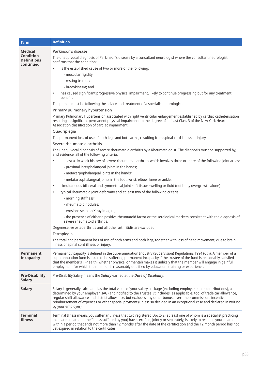| <b>Term</b><br><b>Medical</b><br><b>Condition</b><br><b>Definitions</b><br>continued | <b>Definition</b><br>Parkinson's disease<br>The unequivocal diagnosis of Parkinson's disease by a consultant neurologist where the consultant neurologist<br>confirms that the condition:<br>is the established cause of two or more of the following:<br>- muscular rigidity;<br>- resting tremor;<br>- bradykinesia; and<br>has caused significant progressive physical impairment, likely to continue progressing but for any treatment<br>$\bullet$<br>benefit.<br>The person must be following the advice and treatment of a specialist neurologist.<br>Primary pulmonary hypertension<br>Primary Pulmonary Hypertension associated with right ventricular enlargement established by cardiac catheterisation<br>resulting in significant permanent physical impairment to the degree of at least Class 3 of the New York Heart<br>Association classification of cardiac impairment.<br>Quadriplegia<br>The permanent loss of use of both legs and both arms, resulting from spinal cord illness or injury.<br>Severe rheumatoid arthritis<br>The unequivocal diagnosis of severe rheumatoid arthritis by a Rheumatologist. The diagnosis must be supported by, |
|--------------------------------------------------------------------------------------|----------------------------------------------------------------------------------------------------------------------------------------------------------------------------------------------------------------------------------------------------------------------------------------------------------------------------------------------------------------------------------------------------------------------------------------------------------------------------------------------------------------------------------------------------------------------------------------------------------------------------------------------------------------------------------------------------------------------------------------------------------------------------------------------------------------------------------------------------------------------------------------------------------------------------------------------------------------------------------------------------------------------------------------------------------------------------------------------------------------------------------------------------------------------|
|                                                                                      | and evidence, all of the following criteria:<br>at least a six week history of severe rheumatoid arthritis which involves three or more of the following joint areas:<br>- proximal interphalangeal joints in the hands;<br>- metacarpophalangeal joints in the hands;<br>- metatarsophalangeal joints in the foot, wrist, elbow, knee or ankle;<br>simultaneous bilateral and symmetrical Joint soft tissue swelling or fluid (not bony overgrowth alone)<br>$\bullet$<br>typical rheumatoid joint deformity and at least two of the following criteria:<br>$\bullet$<br>- morning stiffness;<br>- rheumatoid nodules;<br>- erosions seen on X-ray imaging;<br>- the presence of either a positive rheumatoid factor or the serological markers consistent with the diagnosis of<br>severe rheumatoid arthritis.<br>Degenerative osteoarthritis and all other arthritidis are excluded.<br>Tetraplegia<br>The total and permanent loss of use of both arms and both legs, together with loss of head movement, due to brain<br>illness or spinal cord illness or injury.                                                                                            |
| Permanent<br><b>Incapacity</b>                                                       | Permanent Incapacity is defined in the Superannuation Industry (Supervision) Regulations 1994 (Cth). A member of a<br>superannuation fund is taken to be suffering permanent incapacity if the trustee of the fund is reasonably satisfied<br>that the member's ill-health (whether physical or mental) makes it unlikely that the member will engage in gainful<br>employment for which the member is reasonably qualified by education, training or experience.                                                                                                                                                                                                                                                                                                                                                                                                                                                                                                                                                                                                                                                                                                    |
| <b>Pre-Disability</b><br><b>Salary</b>                                               | Pre-Disability Salary means the Salary earned at the Date of Disability.                                                                                                                                                                                                                                                                                                                                                                                                                                                                                                                                                                                                                                                                                                                                                                                                                                                                                                                                                                                                                                                                                             |
| <b>Salary</b>                                                                        | Salary is generally calculated as the total value of your salary package (excluding employer super contributions), as<br>determined by your employer (IAG) and notified to the Trustee. It includes (as applicable) tool of trade car allowance,<br>regular shift allowance and district allowance, but excludes any other bonus, overtime, commission, incentive,<br>reimbursement of expenses or other special payment (unless so decided in an exceptional case and declared in writing<br>by your employer).                                                                                                                                                                                                                                                                                                                                                                                                                                                                                                                                                                                                                                                     |
| <b>Terminal</b><br>Illness                                                           | Terminal Illness means you suffer an Illness that two registered Doctors (at least one of whom is a specialist practicing<br>in an area related to the Illness suffered by you) have certified, jointly or separately, is likely to result in your death<br>within a period that ends not more than 12 months after the date of the certification and the 12 month period has not<br>yet expired in relation to the certificates.                                                                                                                                                                                                                                                                                                                                                                                                                                                                                                                                                                                                                                                                                                                                    |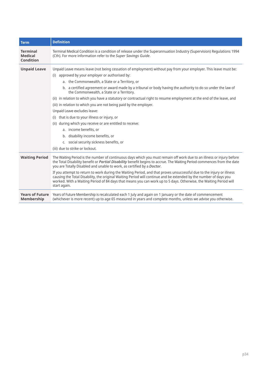| <b>Term</b>                                           | <b>Definition</b>                                                                                                                                                                                                                                                                                                                                                                                                                                                                                                                                                                                                                                                                                                                                                                                                                          |
|-------------------------------------------------------|--------------------------------------------------------------------------------------------------------------------------------------------------------------------------------------------------------------------------------------------------------------------------------------------------------------------------------------------------------------------------------------------------------------------------------------------------------------------------------------------------------------------------------------------------------------------------------------------------------------------------------------------------------------------------------------------------------------------------------------------------------------------------------------------------------------------------------------------|
| <b>Terminal</b><br><b>Medical</b><br><b>Condition</b> | Terminal Medical Condition is a condition of release under the Superannuation Industry (Supervision) Regulations 1994<br>(Cth). For more information refer to the Super Savings Guide.                                                                                                                                                                                                                                                                                                                                                                                                                                                                                                                                                                                                                                                     |
| <b>Unpaid Leave</b>                                   | Unpaid Leave means leave (not being cessation of employment) without pay from your employer. This leave must be:<br>(i) approved by your employer or authorised by:<br>a. the Commonwealth, a State or a Territory, or<br>b. a certified agreement or award made by a tribunal or body having the authority to do so under the law of<br>the Commonwealth, a State or a Territory.<br>(ii) in relation to which you have a statutory or contractual right to resume employment at the end of the leave, and<br>(iii) in relation to which you are not being paid by the employer.<br>Unpaid Leave excludes leave:<br>(i) that is due to your illness or injury, or<br>(ii) during which you receive or are entitled to receive:<br>a. income benefits, or<br>b. disability income benefits, or<br>c. social security sickness benefits, or |
|                                                       | (iii) due to strike or lockout.                                                                                                                                                                                                                                                                                                                                                                                                                                                                                                                                                                                                                                                                                                                                                                                                            |
| <b>Waiting Period</b>                                 | The Waiting Period is the number of continuous days which you must remain off work due to an illness or injury before<br>the Total Disability benefit or Partial Disability benefit begins to accrue. The Waiting Period commences from the date<br>you are Totally Disabled and unable to work, as certified by a Doctor.<br>If you attempt to return to work during the Waiting Period, and that proves unsuccessful due to the injury or illness<br>causing the Total Disability, the original Waiting Period will continue and be extended by the number of days you<br>worked. With a Waiting Period of 84 days that means you can work up to 5 days. Otherwise, the Waiting Period will<br>start again.                                                                                                                              |
|                                                       |                                                                                                                                                                                                                                                                                                                                                                                                                                                                                                                                                                                                                                                                                                                                                                                                                                            |
| <b>Years of Future</b><br>Membership                  | Years of Future Membership is recalculated each 1 July and again on 1 January or the date of commencement<br>(whichever is more recent) up to age 65 measured in years and complete months, unless we advise you otherwise.                                                                                                                                                                                                                                                                                                                                                                                                                                                                                                                                                                                                                |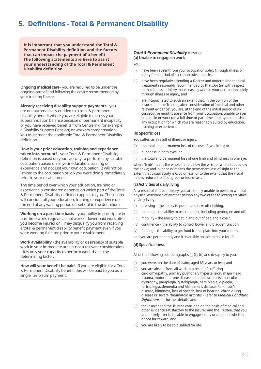# <span id="page-35-0"></span>**5. Definitions - Total & Permanent Disability**

**It is important that you understand the Total & Permanent Disability definition and the factors that can impact the payment of a benefit. The following statements are here to assist your understanding of the Total & Permanent Disability definition.**

**Ongoing medical care** - you are required to be under the ongoing care of and following the advice recommended by your treating Doctor.

**Already receiving disability support payments** - you are not automatically entitled to a total & permanent disability benefit where you are eligible to access your superannuation balance because of permanent incapacity or you have received benefits from Centrelink (for example a Disability Support Pension) or workers compensation. You must meet the applicable Total & Permanent Disability definition.

**How is your prior education, training and experience taken into account?** - your Total & Permanent Disability definition is based on your capacity to perform any suitable occupation based on all your education, training or experience and not just your own occupation. It will not be limited to the occupation or job you were doing immediately prior to your disablement.

The time period over which your education, training or experience is considered depends on which part of the Total & Permanent Disability definition applies to you. The insurer will consider all your education, training or experience up the end of any waiting period (as set out in the definition).

**Working on a part-time basis** – your ability to participate in part-time work, regular casual work or lower paid work after you become injured or ill may disqualify you from receiving a total & permanent disability benefit payment even if you were working full time prior to your disablement.

**Work availability** - the availability or desirability of suitable work in your immediate area is not a relevant consideration – it is only your capacity to perform work that is the determining factor.

**How will your benefit be paid** - If you are eligible for a Total & Permanent Disability benefit, this will be paid to you as a single lump sum payment.

#### *Total & Permanent Disability* means**: (a) Unable to engage in work**

You:

- (i) have been absent from your occupation solely through illness or injury for a period of six consecutive months,
- (ii) have been regularly attending a *Doctor* and undertaking medical treatment reasonably recommended by that *Doctor* with respect to that illness or injury since ceasing work in your occupation solely through illness or injury, and
- (iii) are incapacitated to such an extent that, in the opinion of the insurer and the Trustee, after consideration of 'medical and other relevant evidence', you are, at the end of the initial period of six consecutive months absence from your occupation, unable to ever engage in or work (on a full time or part time employment basis) in any occupation for which you are reasonably suited by education, training or experience.

#### **(b) Specific loss**

You suffer, as a result of illness or injury:

- (i) the total and permanent loss of the use of two limbs; or
- (ii) blindness in both eyes; or
- (iii) the total and permanent loss of one limb and blindness in one eye;

where 'limb' means the whole hand below the wrist or whole foot below the ankle; and 'blindness' means the permanent loss of sight to the extent that visual acuity is 6/60 or less, or to the extent that the visual field is reduced to 20 degrees or less of arc.

#### **(c) Activities of daily living**

As a result of illness or injury, you are totally unable to perform without physical assistance of another person any two of the following activities of daily living:

- (i) dressing the ability to put on and take off clothing,
- (ii) toileting the ability to use the toilet, including getting on and off,
- (iii) mobility the ability to get in and out of bed and a chair,
- (iv) continence the ability to control bowel and bladder function,
- (v) feeding the ability to get food from a plate into your mouth,
- and you are permanently and irreversibly unable to do so for life.

#### **(d) Specific illness**

All of the following sub-paragraphs (i), (ii), (iii) and (iv) apply to you:

- (i) you were, on the date of claim, aged 65 years or less; and
- (ii) you are absent from all work as a result of suffering cardiomyopathy, primary pulmonary hypertension, major head trauma, motor neurone disease, multiple sclerosis, muscular dystrophy, paraplegia, quadriplegia, hemiplegia, diplegia, tertraplegia, dementia and Alzheimer's disease, Parkinson's disease, blindness, loss of speech, loss of hearing, chronic lung disease or severe rheumatoid arthritis - Refer to *Medical Condition Definitions* for further details; and
- (iii) the insurer and the Trustee consider, on the basis of medical and other evidence satisfactory to the insurer and the Trustee, that you are unlikely ever to be able to engage in any occupation, whether or not for reward; and
- (iv) you are likely to be so disabled for life.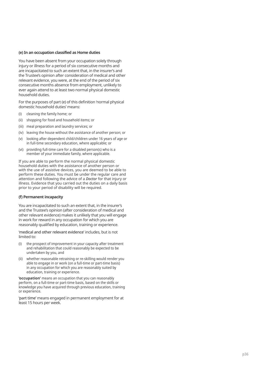#### **(e) In an occupation classified as Home duties**

You have been absent from your occupation solely through injury or illness for a period of six consecutive months and are incapacitated to such an extent that, in the insurer's and the Trustee's opinion after consideration of medical and other relevant evidence, you were, at the end of the period of six consecutive months absence from employment, unlikely to ever again attend to at least two normal physical domestic household duties.

For the purposes of part (e) of this definition 'normal physical domestic household duties' means:

- (i) cleaning the family home; or
- (ii) shopping for food and household items; or
- (iii) meal preparation and laundry services; or
- (iv) leaving the house without the assistance of another person; or
- (v) looking after dependent child/children under 16 years of age or in full-time secondary education, where applicable; or
- (vi) providing full-time care for a disabled person(s) who is a member of your immediate family, where applicable.

If you are able to perform the normal physical domestic household duties with the assistance of another person or with the use of assistive devices, you are deemed to be able to perform these duties. You must be under the regular care and attention and following the advice of a *Doctor* for that injury or illness. Evidence that you carried out the duties on a daily basis prior to your period of disability will be required.

#### **(f) Permanent incapacity**

You are incapacitated to such an extent that, in the insurer's and the Trustee's opinion (after consideration of medical and other relevant evidence) makes it unlikely that you will engage in work for reward in any occupation for which you are reasonably qualified by education, training or experience.

'medical and other relevant evidence' includes, but is not limited to:

- (i) the prospect of improvement in your capacity after treatment and rehabilitation that could reasonably be expected to be undertaken by you, and
- (ii) whether reasonable retraining or re-skilling would render you able to engage in or work (on a full-time or part-time basis) in any occupation for which you are reasonably suited by education, training or experience.

**'occupation'** means an occupation that you can reasonably perform, on a full-time or part-time basis, based on the skills or knowledge you have acquired through previous education, training or experience.

'part time' means engaged in permanent employment for at least 15 hours per week.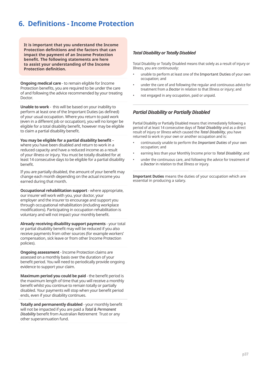# <span id="page-37-0"></span>**6. Definitions - Income Protection**

**It is important that you understand the Income Protection definitions and the factors that can impact the payment of an Income Protection benefit. The following statements are here to assist your understanding of the Income Protection definition.**

**Ongoing medical care** - to remain eligible for Income Protection benefits, you are required to be under the care of and following the advice recommended by your treating Doctor.

**Unable to work** - this will be based on your inability to perform at least one of the Important Duties (as defined) of your usual occupation. Where you return to paid work (even in a different job or occupation), you will no longer be eligible for a total disability benefit, however may be eligible to claim a partial disability benefit.

**You may be eligible for a partial disability benefit** – where you have been disabled and return to work in a reduced capacity and have a reduced income as a result of your illness or injury. You must be totally disabled for at least 14 consecutive days to be eligible for a partial disability benefit.

If you are partially disabled, the amount of your benefit may change each month depending on the actual income you earned during that month.

**Occupational rehabilitation support** - where appropriate, our insurer will work with you, your doctor, your employer and the insurer to encourage and support you through occupational rehabilitation (including workplace modifications). Participating in occupation rehabilitation is voluntary and will not impact your monthly benefit.

**Already receiving disability support payments** - your total or partial disability benefit may will be reduced if you also receive payments from other sources (for example workers' compensation, sick leave or from other Income Protection policies).

**Ongoing assessment** - Income Protection claims are assessed on a monthly basis over the duration of your benefit period. You will need to periodically provide ongoing evidence to support your claim.

**Maximum period you could be paid** - the benefit period is the maximum length of time that you will receive a monthly benefit whilst you continue to remain totally or partially disabled. Your payments will stop when your benefit period ends, even if your disability continues.

**Totally and permanently disabled** - your monthly benefit will not be impacted if you are paid a *Total & Permanent Disability* benefit from Australian Retirement Trust or any other superannuation fund.

### *Total Disability or Totally Disabled*

Total Disability or Totally Disabled means that solely as a result of injury or Illness, you are continuously:

- unable to perform at least one of the Important Duties of your own occupation; and
- under the care of and following the regular and continuous advice for treatment from a *Doctor* in relation to that Illness or injury; and
- not engaged in any occupation, paid or unpaid.

### *Partial Disability or Partially Disabled*

Partial Disability or Partially Disabled means that immediately following a period of at least 14 consecutive days of *Total Disability* and as a direct result of injury or Illness which caused the *Total Disability*, you have returned to work in your own or another occupation and is:

- continuously unable to perform the *Important Duties* of your own occupation; and
- earning less than your Monthly Income prior to *Total Disability*; and
- under the continuous care, and following the advice for treatment of a *Doctor* in relation to that Illness or injury.

**Important Duties** means the duties of your occupation which are essential in producing a salary.